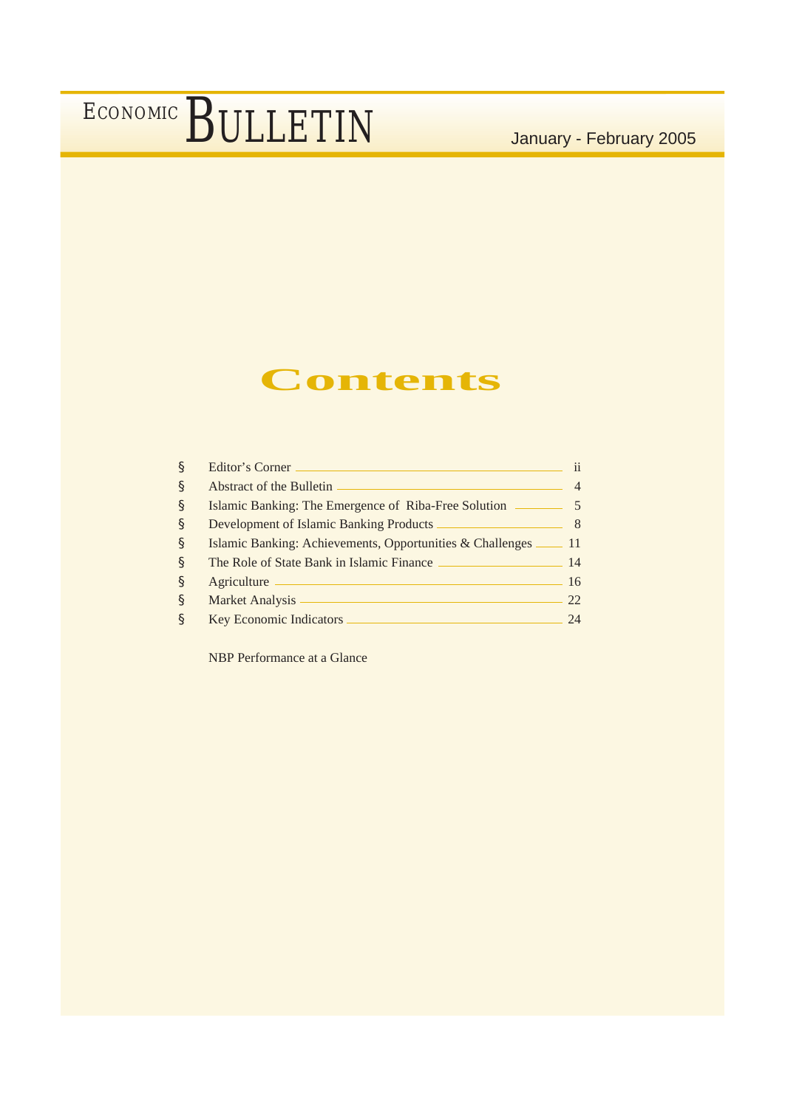### **Contents**

| ş            | Editor's Corner                                                     | ii |
|--------------|---------------------------------------------------------------------|----|
| <sub>S</sub> | Abstract of the Bulletin                                            |    |
| S            | Islamic Banking: The Emergence of Riba-Free Solution ________       |    |
| S            | Development of Islamic Banking Products                             |    |
| S            | Islamic Banking: Achievements, Opportunities & Challenges ______ 11 |    |
| <sub>S</sub> | The Role of State Bank in Islamic Finance                           | 14 |
| <sub>S</sub> | Agriculture                                                         | 16 |
| <sub>S</sub> | Market Analysis                                                     | 22 |
| §            | <b>Key Economic Indicators</b>                                      | 74 |

NBP Performance at a Glance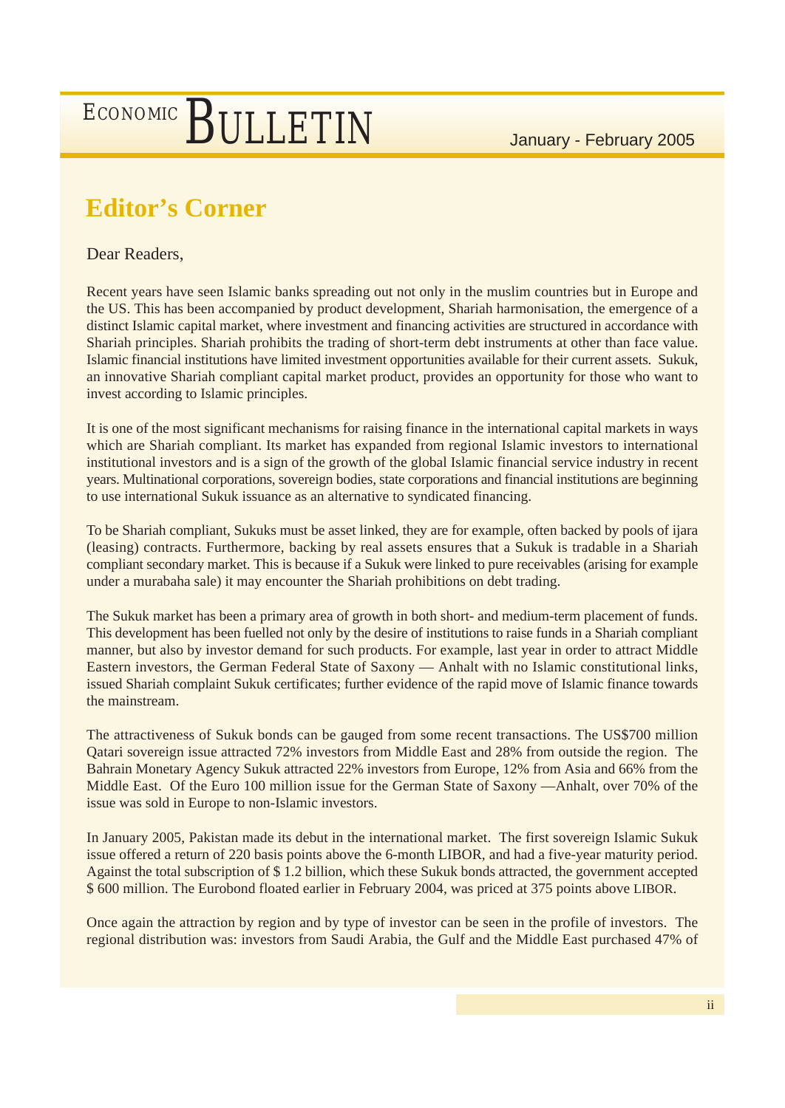### **Editor's Corner**

#### Dear Readers,

Recent years have seen Islamic banks spreading out not only in the muslim countries but in Europe and the US. This has been accompanied by product development, Shariah harmonisation, the emergence of a distinct Islamic capital market, where investment and financing activities are structured in accordance with Shariah principles. Shariah prohibits the trading of short-term debt instruments at other than face value. Islamic financial institutions have limited investment opportunities available for their current assets. Sukuk, an innovative Shariah compliant capital market product, provides an opportunity for those who want to invest according to Islamic principles.

It is one of the most significant mechanisms for raising finance in the international capital markets in ways which are Shariah compliant. Its market has expanded from regional Islamic investors to international institutional investors and is a sign of the growth of the global Islamic financial service industry in recent years. Multinational corporations, sovereign bodies, state corporations and financial institutions are beginning to use international Sukuk issuance as an alternative to syndicated financing.

To be Shariah compliant, Sukuks must be asset linked, they are for example, often backed by pools of ijara (leasing) contracts. Furthermore, backing by real assets ensures that a Sukuk is tradable in a Shariah compliant secondary market. This is because if a Sukuk were linked to pure receivables (arising for example under a murabaha sale) it may encounter the Shariah prohibitions on debt trading.

The Sukuk market has been a primary area of growth in both short- and medium-term placement of funds. This development has been fuelled not only by the desire of institutions to raise funds in a Shariah compliant manner, but also by investor demand for such products. For example, last year in order to attract Middle Eastern investors, the German Federal State of Saxony –– Anhalt with no Islamic constitutional links, issued Shariah complaint Sukuk certificates; further evidence of the rapid move of Islamic finance towards the mainstream.

The attractiveness of Sukuk bonds can be gauged from some recent transactions. The US\$700 million Qatari sovereign issue attracted 72% investors from Middle East and 28% from outside the region. The Bahrain Monetary Agency Sukuk attracted 22% investors from Europe, 12% from Asia and 66% from the Middle East. Of the Euro 100 million issue for the German State of Saxony ––Anhalt, over 70% of the issue was sold in Europe to non-Islamic investors.

In January 2005, Pakistan made its debut in the international market. The first sovereign Islamic Sukuk issue offered a return of 220 basis points above the 6-month LIBOR, and had a five-year maturity period. Against the total subscription of \$ 1.2 billion, which these Sukuk bonds attracted, the government accepted \$ 600 million. The Eurobond floated earlier in February 2004, was priced at 375 points above LIBOR.

Once again the attraction by region and by type of investor can be seen in the profile of investors. The regional distribution was: investors from Saudi Arabia, the Gulf and the Middle East purchased 47% of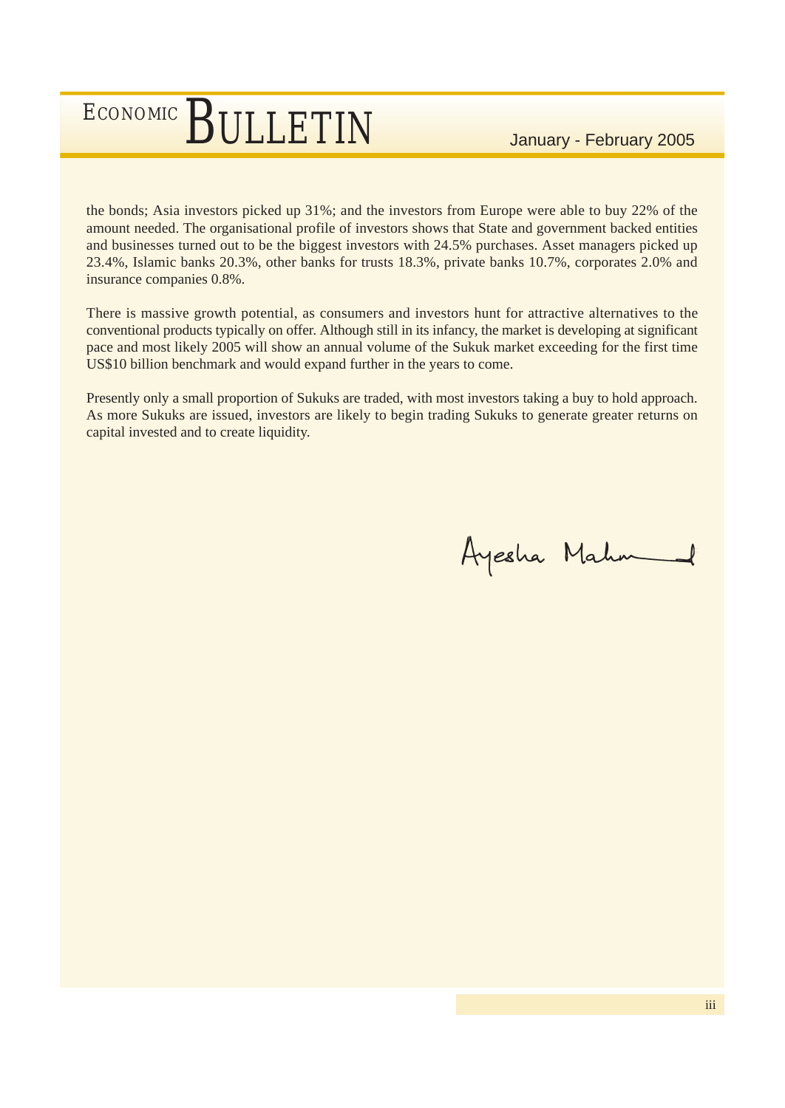the bonds; Asia investors picked up 31%; and the investors from Europe were able to buy 22% of the amount needed. The organisational profile of investors shows that State and government backed entities and businesses turned out to be the biggest investors with 24.5% purchases. Asset managers picked up 23.4%, Islamic banks 20.3%, other banks for trusts 18.3%, private banks 10.7%, corporates 2.0% and insurance companies 0.8%.

There is massive growth potential, as consumers and investors hunt for attractive alternatives to the conventional products typically on offer. Although still in its infancy, the market is developing at significant pace and most likely 2005 will show an annual volume of the Sukuk market exceeding for the first time US\$10 billion benchmark and would expand further in the years to come.

Presently only a small proportion of Sukuks are traded, with most investors taking a buy to hold approach. As more Sukuks are issued, investors are likely to begin trading Sukuks to generate greater returns on capital invested and to create liquidity.

Ayesha Mahm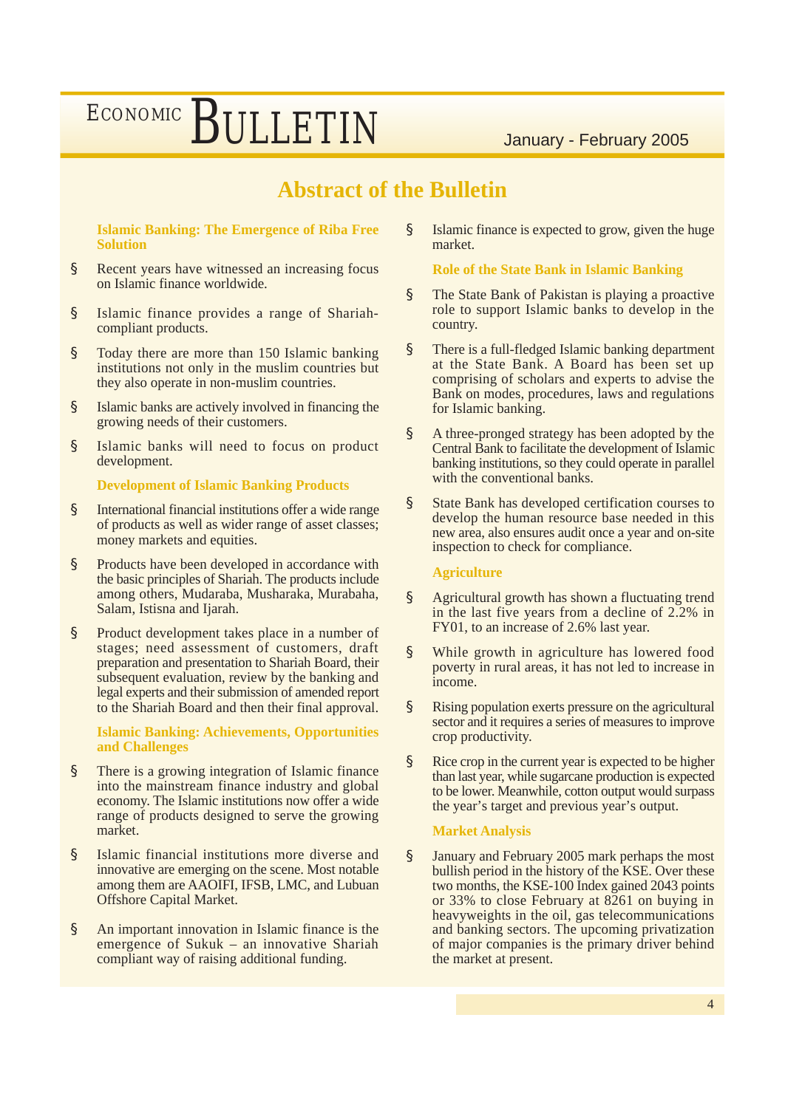### **Abstract of the Bulletin**

**Islamic Banking: The Emergence of Riba Free Solution**

- § Recent years have witnessed an increasing focus on Islamic finance worldwide.
- § Islamic finance provides a range of Shariahcompliant products.
- § Today there are more than 150 Islamic banking institutions not only in the muslim countries but they also operate in non-muslim countries.
- § Islamic banks are actively involved in financing the growing needs of their customers.
- § Islamic banks will need to focus on product development.

#### **Development of Islamic Banking Products**

- § International financial institutions offer a wide range of products as well as wider range of asset classes; money markets and equities.
- § Products have been developed in accordance with the basic principles of Shariah. The products include among others, Mudaraba, Musharaka, Murabaha, Salam, Istisna and Ijarah.
- § Product development takes place in a number of stages; need assessment of customers, draft preparation and presentation to Shariah Board, their subsequent evaluation, review by the banking and legal experts and their submission of amended report to the Shariah Board and then their final approval.

**Islamic Banking: Achievements, Opportunities and Challenges**

- § There is a growing integration of Islamic finance into the mainstream finance industry and global economy. The Islamic institutions now offer a wide range of products designed to serve the growing market.
- § Islamic financial institutions more diverse and innovative are emerging on the scene. Most notable among them are AAOIFI, IFSB, LMC, and Lubuan Offshore Capital Market.
- § An important innovation in Islamic finance is the emergence of Sukuk – an innovative Shariah compliant way of raising additional funding.

§ Islamic finance is expected to grow, given the huge market.

**Role of the State Bank in Islamic Banking**

- § The State Bank of Pakistan is playing a proactive role to support Islamic banks to develop in the country.
- § There is a full-fledged Islamic banking department at the State Bank. A Board has been set up comprising of scholars and experts to advise the Bank on modes, procedures, laws and regulations for Islamic banking.
- § A three-pronged strategy has been adopted by the Central Bank to facilitate the development of Islamic banking institutions, so they could operate in parallel with the conventional banks.
- § State Bank has developed certification courses to develop the human resource base needed in this new area, also ensures audit once a year and on-site inspection to check for compliance.

#### **Agriculture**

- § Agricultural growth has shown a fluctuating trend in the last five years from a decline of 2.2% in FY01, to an increase of 2.6% last year.
- § While growth in agriculture has lowered food poverty in rural areas, it has not led to increase in income.
- § Rising population exerts pressure on the agricultural sector and it requires a series of measures to improve crop productivity.
- § Rice crop in the current year is expected to be higher than last year, while sugarcane production is expected to be lower. Meanwhile, cotton output would surpass the year's target and previous year's output.

#### **Market Analysis**

§ January and February 2005 mark perhaps the most bullish period in the history of the KSE. Over these two months, the KSE-100 Index gained 2043 points or 33% to close February at 8261 on buying in heavyweights in the oil, gas telecommunications and banking sectors. The upcoming privatization of major companies is the primary driver behind the market at present.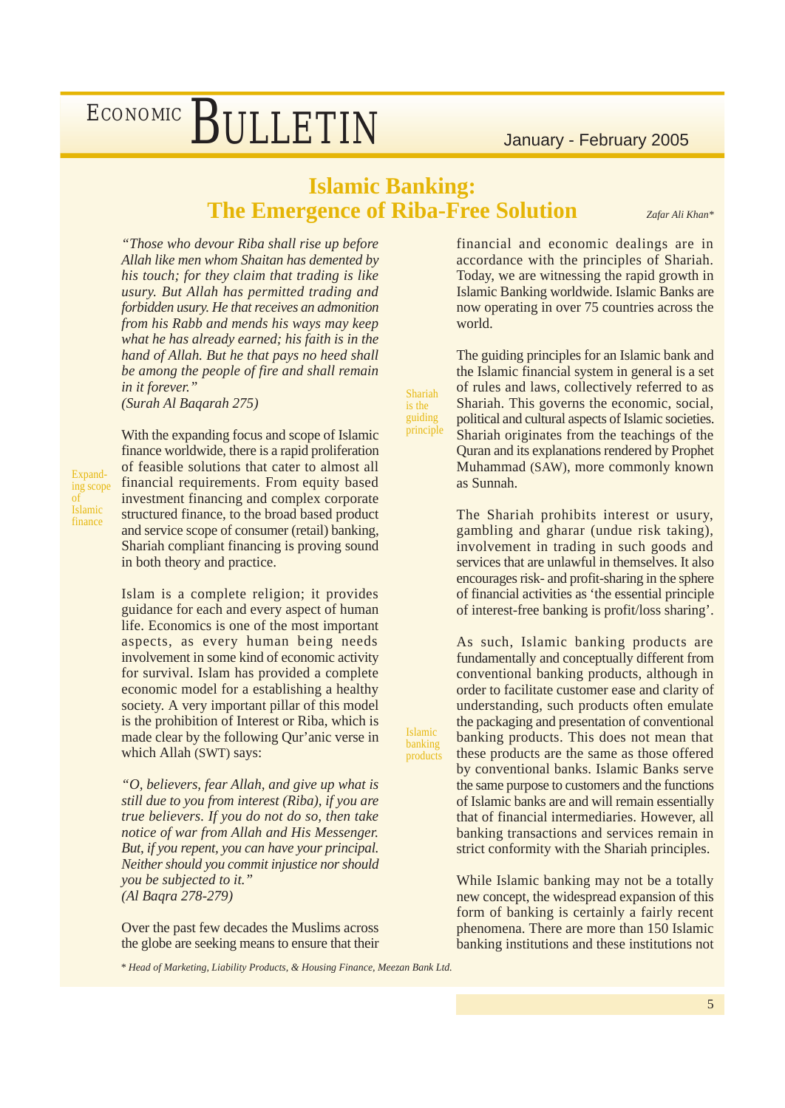#### **Islamic Banking: The Emergence of Riba-Free Solution**

Shariah is the guiding principle

Islamic banking products *Zafar Ali Khan\**

*"Those who devour Riba shall rise up before Allah like men whom Shaitan has demented by his touch; for they claim that trading is like usury. But Allah has permitted trading and forbidden usury. He that receives an admonition from his Rabb and mends his ways may keep what he has already earned; his faith is in the hand of Allah. But he that pays no heed shall be among the people of fire and shall remain in it forever."*

*(Surah Al Baqarah 275)*

Expanding scope of Islamic finance

With the expanding focus and scope of Islamic finance worldwide, there is a rapid proliferation of feasible solutions that cater to almost all financial requirements. From equity based investment financing and complex corporate structured finance, to the broad based product and service scope of consumer (retail) banking, Shariah compliant financing is proving sound in both theory and practice.

Islam is a complete religion; it provides guidance for each and every aspect of human life. Economics is one of the most important aspects, as every human being needs involvement in some kind of economic activity for survival. Islam has provided a complete economic model for a establishing a healthy society. A very important pillar of this model is the prohibition of Interest or Riba, which is made clear by the following Qur'anic verse in which Allah (SWT) says:

*"O, believers, fear Allah, and give up what is still due to you from interest (Riba), if you are true believers. If you do not do so, then take notice of war from Allah and His Messenger. But, if you repent, you can have your principal. Neither should you commit injustice nor should you be subjected to it." (Al Baqra 278-279)*

Over the past few decades the Muslims across the globe are seeking means to ensure that their

financial and economic dealings are in accordance with the principles of Shariah. Today, we are witnessing the rapid growth in Islamic Banking worldwide. Islamic Banks are now operating in over 75 countries across the world.

The guiding principles for an Islamic bank and the Islamic financial system in general is a set of rules and laws, collectively referred to as Shariah. This governs the economic, social, political and cultural aspects of Islamic societies. Shariah originates from the teachings of the Quran and its explanations rendered by Prophet Muhammad (SAW), more commonly known as Sunnah.

The Shariah prohibits interest or usury, gambling and gharar (undue risk taking), involvement in trading in such goods and services that are unlawful in themselves. It also encourages risk- and profit-sharing in the sphere of financial activities as 'the essential principle of interest-free banking is profit/loss sharing'.

As such, Islamic banking products are fundamentally and conceptually different from conventional banking products, although in order to facilitate customer ease and clarity of understanding, such products often emulate the packaging and presentation of conventional banking products. This does not mean that these products are the same as those offered by conventional banks. Islamic Banks serve the same purpose to customers and the functions of Islamic banks are and will remain essentially that of financial intermediaries. However, all banking transactions and services remain in strict conformity with the Shariah principles.

While Islamic banking may not be a totally new concept, the widespread expansion of this form of banking is certainly a fairly recent phenomena. There are more than 150 Islamic banking institutions and these institutions not

*\* Head of Marketing, Liability Products, & Housing Finance, Meezan Bank Ltd.*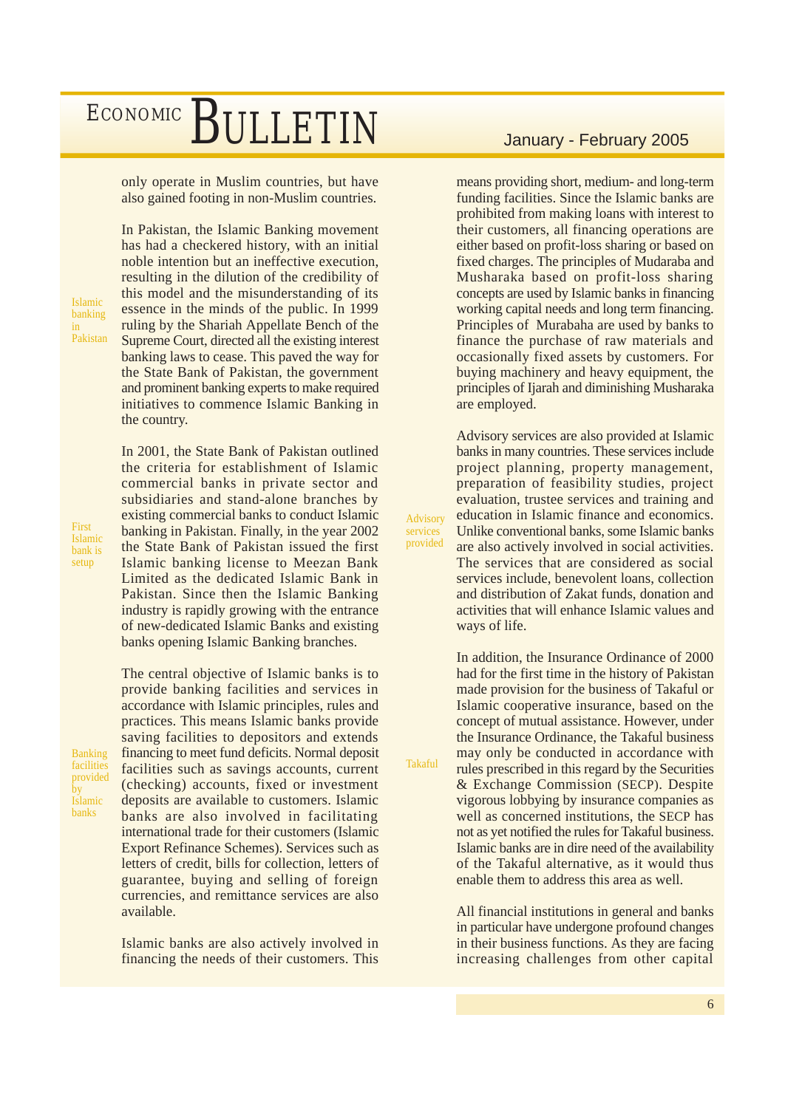only operate in Muslim countries, but have also gained footing in non-Muslim countries.

In Pakistan, the Islamic Banking movement has had a checkered history, with an initial noble intention but an ineffective execution, resulting in the dilution of the credibility of this model and the misunderstanding of its essence in the minds of the public. In 1999 ruling by the Shariah Appellate Bench of the Supreme Court, directed all the existing interest banking laws to cease. This paved the way for the State Bank of Pakistan, the government and prominent banking experts to make required initiatives to commence Islamic Banking in

Islamic banking in Pakistan

the country.

First Islamic bank is setup

subsidiaries and stand-alone branches by existing commercial banks to conduct Islamic banking in Pakistan. Finally, in the year 2002 the State Bank of Pakistan issued the first Islamic banking license to Meezan Bank Limited as the dedicated Islamic Bank in Pakistan. Since then the Islamic Banking industry is rapidly growing with the entrance of new-dedicated Islamic Banks and existing banks opening Islamic Banking branches.

The central objective of Islamic banks is to provide banking facilities and services in accordance with Islamic principles, rules and

In 2001, the State Bank of Pakistan outlined the criteria for establishment of Islamic commercial banks in private sector and

Banking facilities provided by Islamic banks

practices. This means Islamic banks provide saving facilities to depositors and extends financing to meet fund deficits. Normal deposit facilities such as savings accounts, current (checking) accounts, fixed or investment deposits are available to customers. Islamic banks are also involved in facilitating international trade for their customers (Islamic Export Refinance Schemes). Services such as letters of credit, bills for collection, letters of guarantee, buying and selling of foreign currencies, and remittance services are also available.

Islamic banks are also actively involved in financing the needs of their customers. This

means providing short, medium- and long-term funding facilities. Since the Islamic banks are prohibited from making loans with interest to their customers, all financing operations are either based on profit-loss sharing or based on fixed charges. The principles of Mudaraba and Musharaka based on profit-loss sharing concepts are used by Islamic banks in financing working capital needs and long term financing. Principles of Murabaha are used by banks to finance the purchase of raw materials and occasionally fixed assets by customers. For buying machinery and heavy equipment, the principles of Ijarah and diminishing Musharaka are employed.

Advisory services are also provided at Islamic banks in many countries. These services include project planning, property management, preparation of feasibility studies, project evaluation, trustee services and training and education in Islamic finance and economics. Unlike conventional banks, some Islamic banks are also actively involved in social activities. The services that are considered as social services include, benevolent loans, collection and distribution of Zakat funds, donation and activities that will enhance Islamic values and ways of life.

Advisory services provided

Takaful

In addition, the Insurance Ordinance of 2000 had for the first time in the history of Pakistan made provision for the business of Takaful or Islamic cooperative insurance, based on the concept of mutual assistance. However, under the Insurance Ordinance, the Takaful business may only be conducted in accordance with rules prescribed in this regard by the Securities & Exchange Commission (SECP). Despite vigorous lobbying by insurance companies as well as concerned institutions, the SECP has not as yet notified the rules for Takaful business. Islamic banks are in dire need of the availability of the Takaful alternative, as it would thus enable them to address this area as well.

All financial institutions in general and banks in particular have undergone profound changes in their business functions. As they are facing increasing challenges from other capital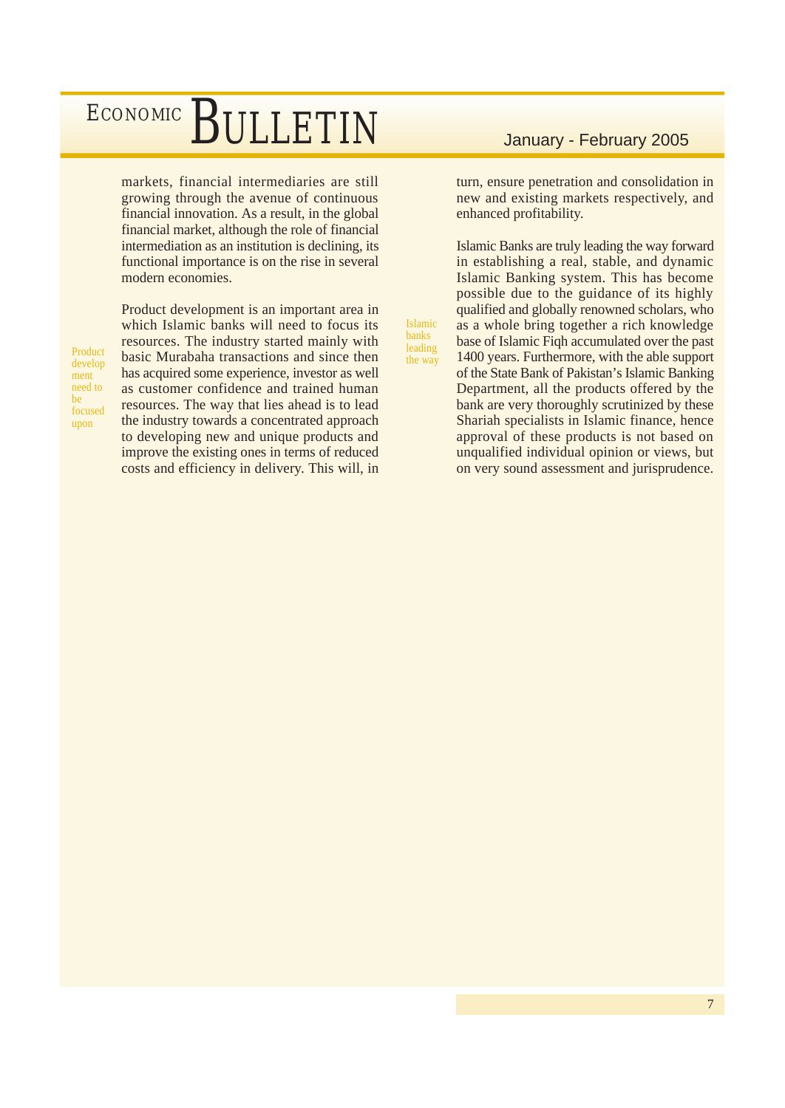markets, financial intermediaries are still growing through the avenue of continuous financial innovation. As a result, in the global financial market, although the role of financial intermediation as an institution is declining, its functional importance is on the rise in several modern economies.

Product develop ment need to be focused upon

Product development is an important area in which Islamic banks will need to focus its resources. The industry started mainly with basic Murabaha transactions and since then has acquired some experience, investor as well as customer confidence and trained human resources. The way that lies ahead is to lead the industry towards a concentrated approach to developing new and unique products and improve the existing ones in terms of reduced costs and efficiency in delivery. This will, in

turn, ensure penetration and consolidation in new and existing markets respectively, and enhanced profitability.

Islamic Banks are truly leading the way forward in establishing a real, stable, and dynamic Islamic Banking system. This has become possible due to the guidance of its highly qualified and globally renowned scholars, who as a whole bring together a rich knowledge base of Islamic Fiqh accumulated over the past 1400 years. Furthermore, with the able support of the State Bank of Pakistan's Islamic Banking Department, all the products offered by the bank are very thoroughly scrutinized by these Shariah specialists in Islamic finance, hence approval of these products is not based on unqualified individual opinion or views, but on very sound assessment and jurisprudence.

Islamic banks leading the way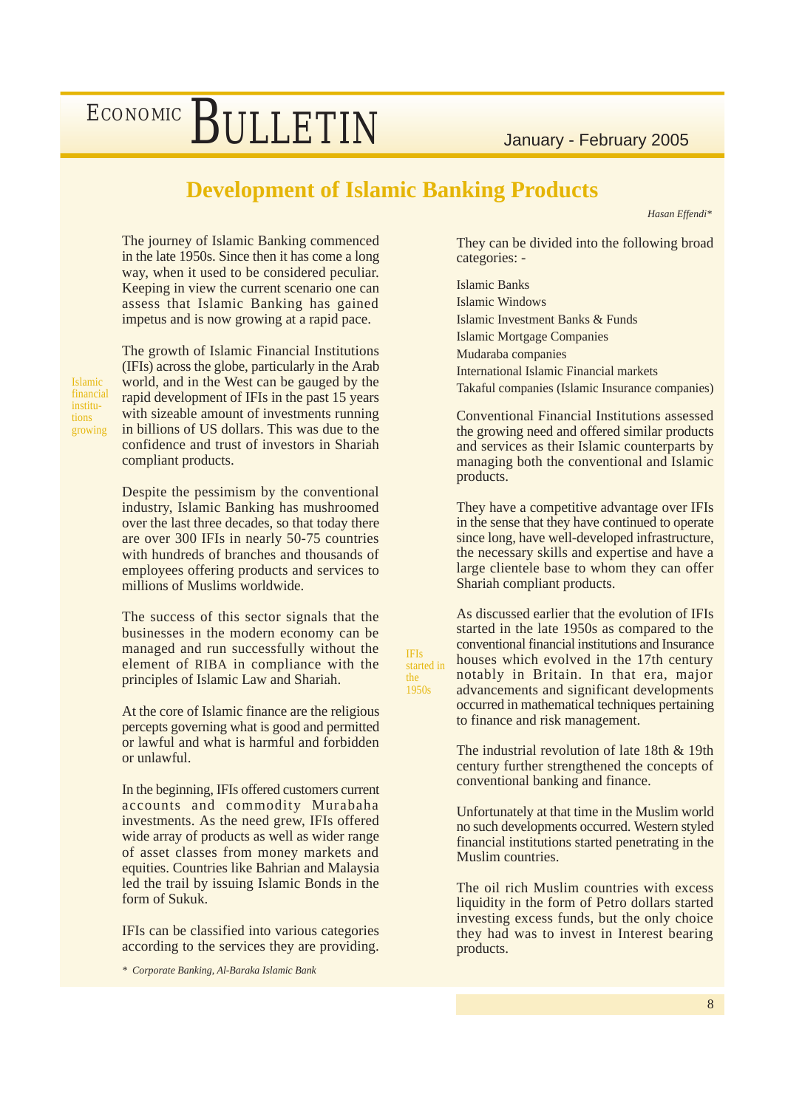#### **Development of Islamic Banking Products**

*Hasan Effendi\**

The journey of Islamic Banking commenced in the late 1950s. Since then it has come a long way, when it used to be considered peculiar. Keeping in view the current scenario one can assess that Islamic Banking has gained impetus and is now growing at a rapid pace.

The growth of Islamic Financial Institutions (IFIs) across the globe, particularly in the Arab world, and in the West can be gauged by the rapid development of IFIs in the past 15 years with sizeable amount of investments running in billions of US dollars. This was due to the confidence and trust of investors in Shariah compliant products.

Despite the pessimism by the conventional industry, Islamic Banking has mushroomed over the last three decades, so that today there are over 300 IFIs in nearly 50-75 countries with hundreds of branches and thousands of employees offering products and services to millions of Muslims worldwide.

The success of this sector signals that the businesses in the modern economy can be managed and run successfully without the element of RIBA in compliance with the principles of Islamic Law and Shariah.

At the core of Islamic finance are the religious percepts governing what is good and permitted or lawful and what is harmful and forbidden or unlawful.

In the beginning, IFIs offered customers current accounts and commodity Murabaha investments. As the need grew, IFIs offered wide array of products as well as wider range of asset classes from money markets and equities. Countries like Bahrian and Malaysia led the trail by issuing Islamic Bonds in the form of Sukuk.

IFIs can be classified into various categories according to the services they are providing.

*\* Corporate Banking, Al-Baraka Islamic Bank*

They can be divided into the following broad categories: -

Islamic Banks Islamic Windows Islamic Investment Banks & Funds Islamic Mortgage Companies Mudaraba companies International Islamic Financial markets Takaful companies (Islamic Insurance companies)

Conventional Financial Institutions assessed the growing need and offered similar products and services as their Islamic counterparts by managing both the conventional and Islamic products.

They have a competitive advantage over IFIs in the sense that they have continued to operate since long, have well-developed infrastructure, the necessary skills and expertise and have a large clientele base to whom they can offer Shariah compliant products.

As discussed earlier that the evolution of IFIs started in the late 1950s as compared to the conventional financial institutions and Insurance houses which evolved in the 17th century notably in Britain. In that era, major advancements and significant developments occurred in mathematical techniques pertaining to finance and risk management.

The industrial revolution of late 18th & 19th century further strengthened the concepts of conventional banking and finance.

Unfortunately at that time in the Muslim world no such developments occurred. Western styled financial institutions started penetrating in the Muslim countries.

The oil rich Muslim countries with excess liquidity in the form of Petro dollars started investing excess funds, but the only choice they had was to invest in Interest bearing products.

IFIs started in

> the  $\frac{105}{1950s}$

Islamic financial institutions growing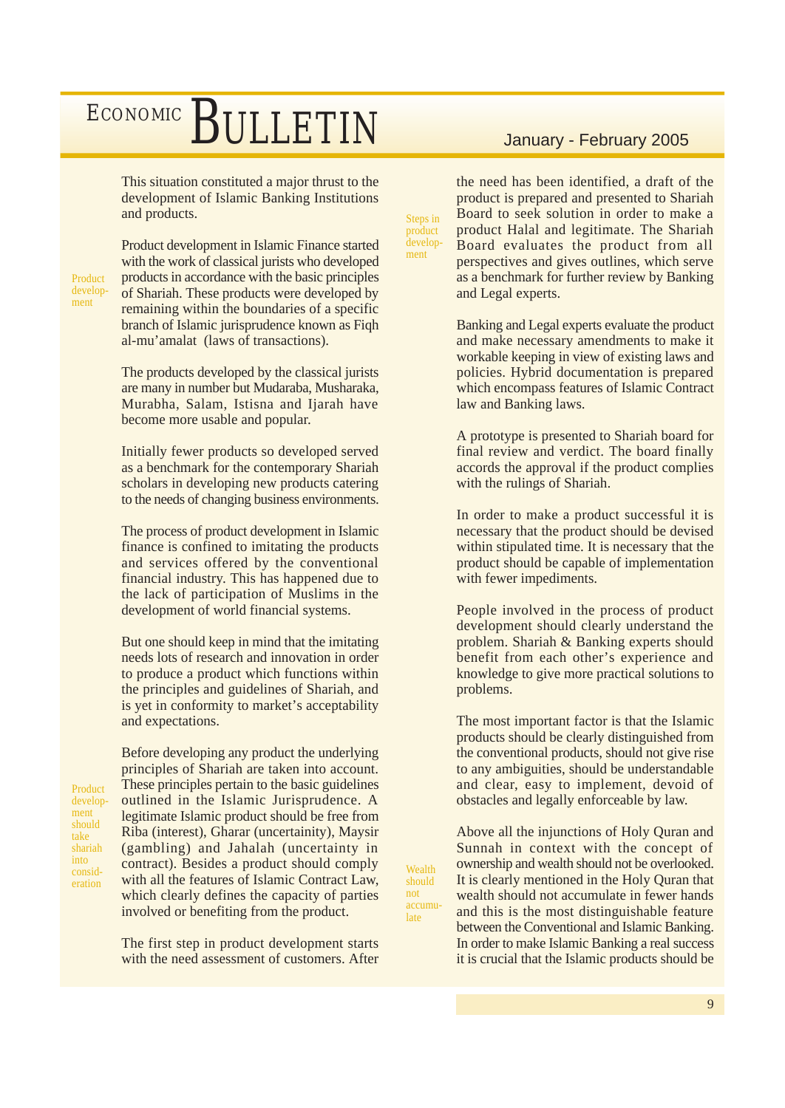This situation constituted a major thrust to the development of Islamic Banking Institutions and products.

Product development

Product development in Islamic Finance started with the work of classical jurists who developed products in accordance with the basic principles of Shariah. These products were developed by remaining within the boundaries of a specific branch of Islamic jurisprudence known as Fiqh al-mu'amalat (laws of transactions).

The products developed by the classical jurists are many in number but Mudaraba, Musharaka, Murabha, Salam, Istisna and Ijarah have become more usable and popular.

Initially fewer products so developed served as a benchmark for the contemporary Shariah scholars in developing new products catering to the needs of changing business environments.

The process of product development in Islamic finance is confined to imitating the products and services offered by the conventional financial industry. This has happened due to the lack of participation of Muslims in the development of world financial systems.

But one should keep in mind that the imitating needs lots of research and innovation in order to produce a product which functions within the principles and guidelines of Shariah, and is yet in conformity to market's acceptability and expectations.

Product development should take shariah into consideration

Before developing any product the underlying principles of Shariah are taken into account. These principles pertain to the basic guidelines outlined in the Islamic Jurisprudence. A legitimate Islamic product should be free from Riba (interest), Gharar (uncertainity), Maysir (gambling) and Jahalah (uncertainty in contract). Besides a product should comply with all the features of Islamic Contract Law, which clearly defines the capacity of parties involved or benefiting from the product.

The first step in product development starts with the need assessment of customers. After

the need has been identified, a draft of the product is prepared and presented to Shariah Board to seek solution in order to make a product Halal and legitimate. The Shariah Board evaluates the product from all perspectives and gives outlines, which serve as a benchmark for further review by Banking and Legal experts.

Steps in product development

**Wealth** should not accumulate

Banking and Legal experts evaluate the product and make necessary amendments to make it workable keeping in view of existing laws and policies. Hybrid documentation is prepared which encompass features of Islamic Contract law and Banking laws.

A prototype is presented to Shariah board for final review and verdict. The board finally accords the approval if the product complies with the rulings of Shariah.

In order to make a product successful it is necessary that the product should be devised within stipulated time. It is necessary that the product should be capable of implementation with fewer impediments.

People involved in the process of product development should clearly understand the problem. Shariah & Banking experts should benefit from each other's experience and knowledge to give more practical solutions to problems.

The most important factor is that the Islamic products should be clearly distinguished from the conventional products, should not give rise to any ambiguities, should be understandable and clear, easy to implement, devoid of obstacles and legally enforceable by law.

Above all the injunctions of Holy Quran and Sunnah in context with the concept of ownership and wealth should not be overlooked. It is clearly mentioned in the Holy Quran that wealth should not accumulate in fewer hands and this is the most distinguishable feature between the Conventional and Islamic Banking. In order to make Islamic Banking a real success it is crucial that the Islamic products should be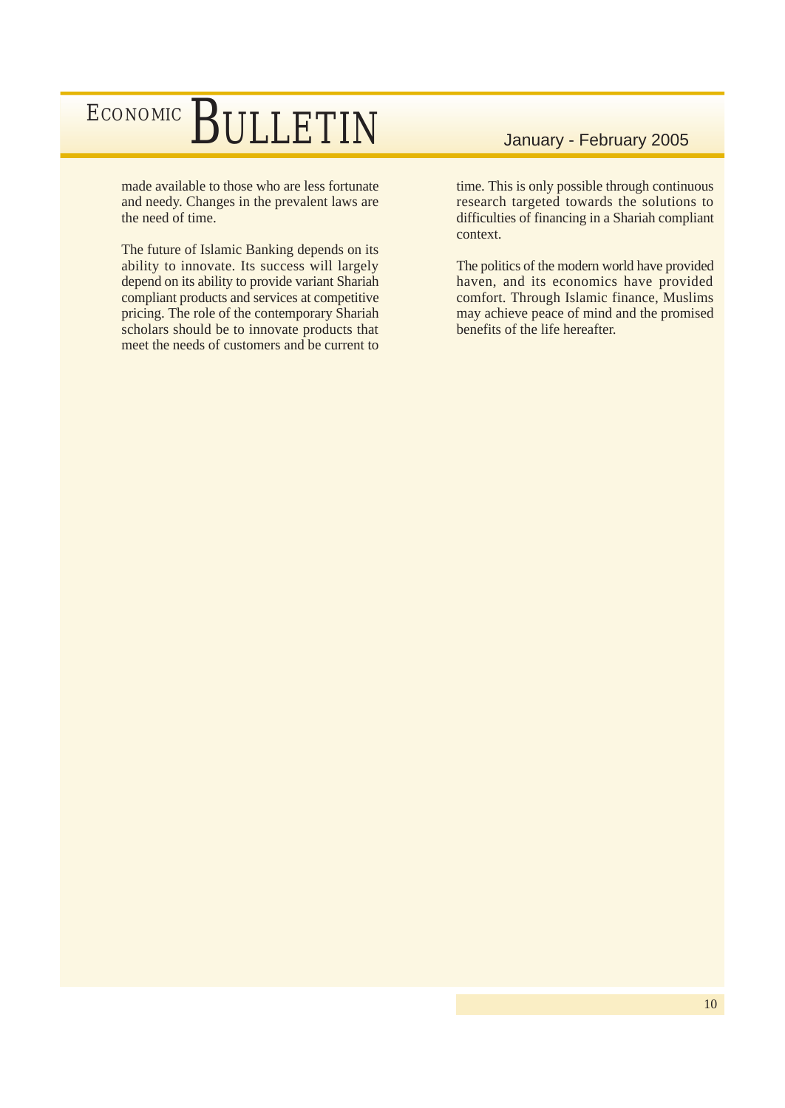made available to those who are less fortunate and needy. Changes in the prevalent laws are the need of time.

The future of Islamic Banking depends on its ability to innovate. Its success will largely depend on its ability to provide variant Shariah compliant products and services at competitive pricing. The role of the contemporary Shariah scholars should be to innovate products that meet the needs of customers and be current to

time. This is only possible through continuous research targeted towards the solutions to difficulties of financing in a Shariah compliant context.

The politics of the modern world have provided haven, and its economics have provided comfort. Through Islamic finance, Muslims may achieve peace of mind and the promised benefits of the life hereafter.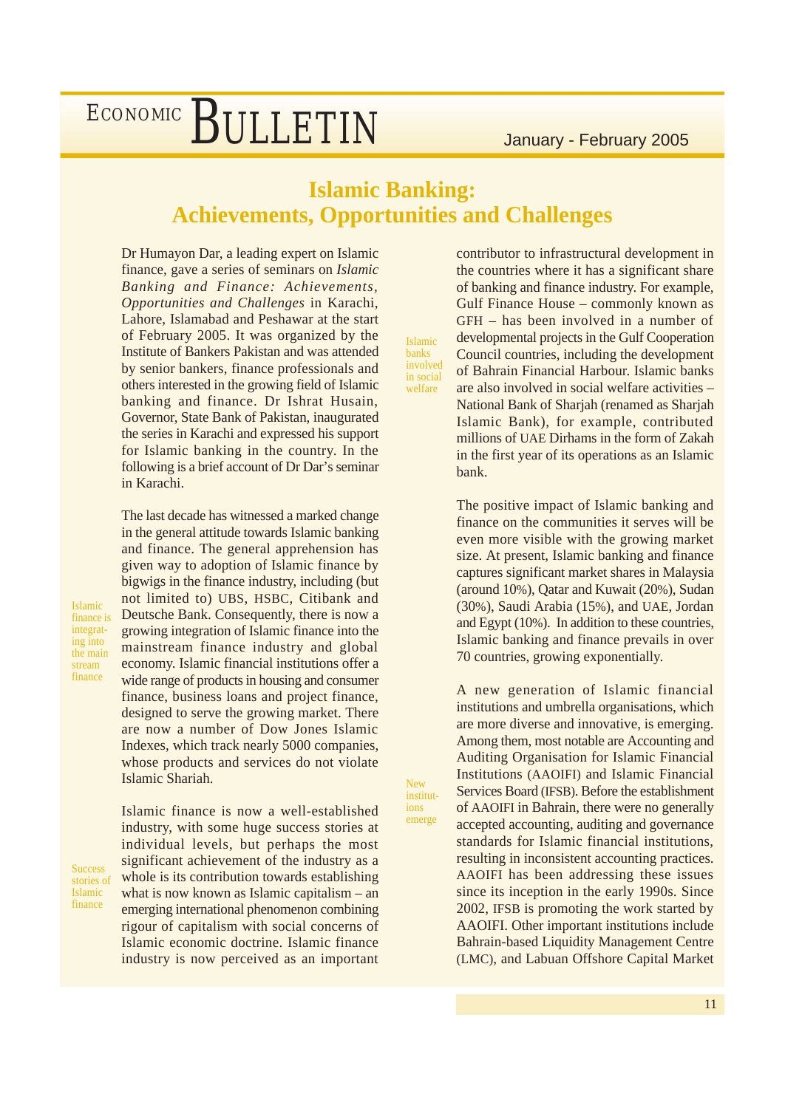### **Islamic Banking: Achievements, Opportunities and Challenges**

Islamic banks involved in social welfare

New institutions emerge

Dr Humayon Dar, a leading expert on Islamic finance, gave a series of seminars on *Islamic Banking and Finance: Achievements, Opportunities and Challenges* in Karachi, Lahore, Islamabad and Peshawar at the start of February 2005. It was organized by the Institute of Bankers Pakistan and was attended by senior bankers, finance professionals and others interested in the growing field of Islamic banking and finance. Dr Ishrat Husain, Governor, State Bank of Pakistan, inaugurated the series in Karachi and expressed his support for Islamic banking in the country. In the following is a brief account of Dr Dar's seminar in Karachi.

The last decade has witnessed a marked change in the general attitude towards Islamic banking and finance. The general apprehension has given way to adoption of Islamic finance by bigwigs in the finance industry, including (but not limited to) UBS, HSBC, Citibank and Deutsche Bank. Consequently, there is now a growing integration of Islamic finance into the mainstream finance industry and global economy. Islamic financial institutions offer a wide range of products in housing and consumer finance, business loans and project finance, designed to serve the growing market. There are now a number of Dow Jones Islamic Indexes, which track nearly 5000 companies, whose products and services do not violate Islamic Shariah.

Islamic finance is integrating into the main stream finance

**Success** stories of Islamic finance

Islamic finance is now a well-established industry, with some huge success stories at individual levels, but perhaps the most significant achievement of the industry as a whole is its contribution towards establishing what is now known as Islamic capitalism – an emerging international phenomenon combining rigour of capitalism with social concerns of Islamic economic doctrine. Islamic finance industry is now perceived as an important

contributor to infrastructural development in the countries where it has a significant share of banking and finance industry. For example, Gulf Finance House – commonly known as GFH – has been involved in a number of developmental projects in the Gulf Cooperation Council countries, including the development of Bahrain Financial Harbour. Islamic banks are also involved in social welfare activities – National Bank of Sharjah (renamed as Sharjah Islamic Bank), for example, contributed millions of UAE Dirhams in the form of Zakah in the first year of its operations as an Islamic bank.

The positive impact of Islamic banking and finance on the communities it serves will be even more visible with the growing market size. At present, Islamic banking and finance captures significant market shares in Malaysia (around 10%), Qatar and Kuwait (20%), Sudan (30%), Saudi Arabia (15%), and UAE, Jordan and Egypt (10%). In addition to these countries, Islamic banking and finance prevails in over 70 countries, growing exponentially.

A new generation of Islamic financial institutions and umbrella organisations, which are more diverse and innovative, is emerging. Among them, most notable are Accounting and Auditing Organisation for Islamic Financial Institutions (AAOIFI) and Islamic Financial Services Board (IFSB). Before the establishment of AAOIFI in Bahrain, there were no generally accepted accounting, auditing and governance standards for Islamic financial institutions, resulting in inconsistent accounting practices. AAOIFI has been addressing these issues since its inception in the early 1990s. Since 2002, IFSB is promoting the work started by AAOIFI. Other important institutions include Bahrain-based Liquidity Management Centre (LMC), and Labuan Offshore Capital Market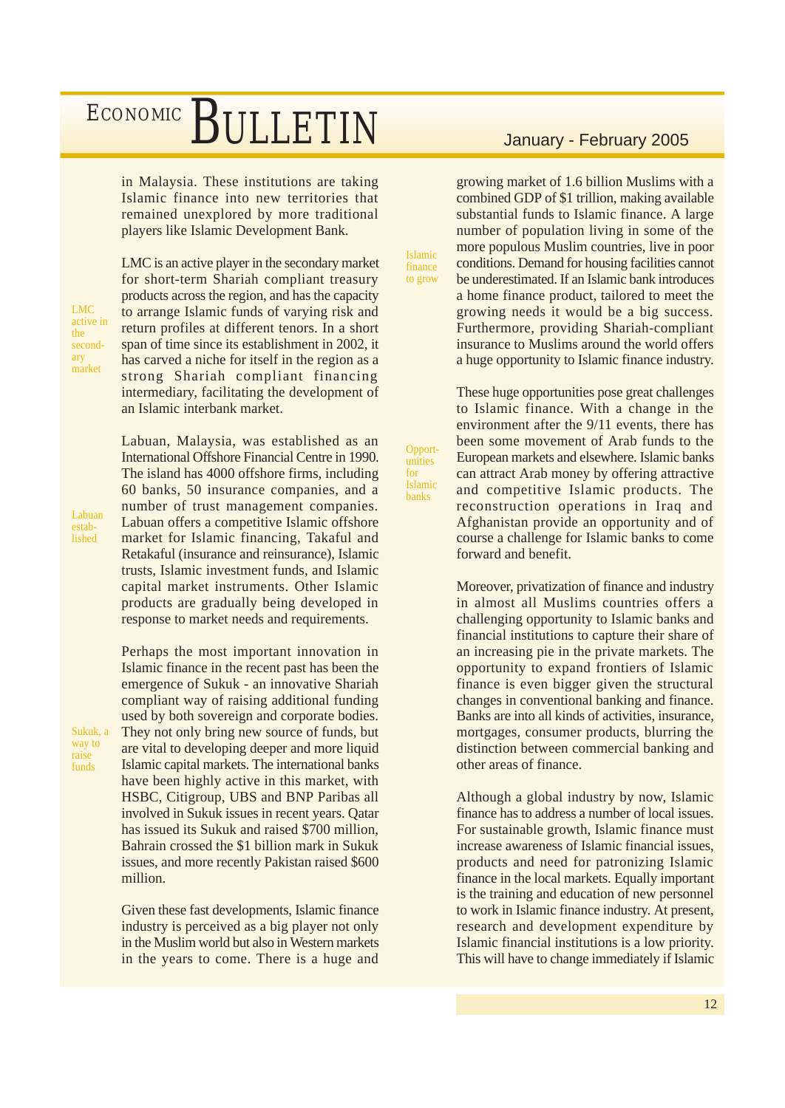in Malaysia. These institutions are taking Islamic finance into new territories that remained unexplored by more traditional players like Islamic Development Bank.

LMC active in the secondary market

Labuan established

Sukuk, a way to raise funds

LMC is an active player in the secondary market for short-term Shariah compliant treasury products across the region, and has the capacity to arrange Islamic funds of varying risk and return profiles at different tenors. In a short span of time since its establishment in 2002, it has carved a niche for itself in the region as a strong Shariah compliant financing intermediary, facilitating the development of an Islamic interbank market.

Labuan, Malaysia, was established as an International Offshore Financial Centre in 1990. The island has 4000 offshore firms, including 60 banks, 50 insurance companies, and a number of trust management companies. Labuan offers a competitive Islamic offshore market for Islamic financing, Takaful and Retakaful (insurance and reinsurance), Islamic trusts, Islamic investment funds, and Islamic capital market instruments. Other Islamic products are gradually being developed in response to market needs and requirements.

Perhaps the most important innovation in Islamic finance in the recent past has been the emergence of Sukuk - an innovative Shariah compliant way of raising additional funding used by both sovereign and corporate bodies. They not only bring new source of funds, but are vital to developing deeper and more liquid Islamic capital markets. The international banks have been highly active in this market, with HSBC, Citigroup, UBS and BNP Paribas all involved in Sukuk issues in recent years. Qatar has issued its Sukuk and raised \$700 million, Bahrain crossed the \$1 billion mark in Sukuk issues, and more recently Pakistan raised \$600 million.

Given these fast developments, Islamic finance industry is perceived as a big player not only in the Muslim world but also in Western markets in the years to come. There is a huge and

growing market of 1.6 billion Muslims with a combined GDP of \$1 trillion, making available substantial funds to Islamic finance. A large number of population living in some of the more populous Muslim countries, live in poor conditions. Demand for housing facilities cannot be underestimated. If an Islamic bank introduces a home finance product, tailored to meet the growing needs it would be a big success. Furthermore, providing Shariah-compliant insurance to Muslims around the world offers a huge opportunity to Islamic finance industry.

Islamic finance to grow

Opportunities for Islamic banks

These huge opportunities pose great challenges to Islamic finance. With a change in the environment after the 9/11 events, there has been some movement of Arab funds to the European markets and elsewhere. Islamic banks can attract Arab money by offering attractive and competitive Islamic products. The reconstruction operations in Iraq and Afghanistan provide an opportunity and of course a challenge for Islamic banks to come forward and benefit.

Moreover, privatization of finance and industry in almost all Muslims countries offers a challenging opportunity to Islamic banks and financial institutions to capture their share of an increasing pie in the private markets. The opportunity to expand frontiers of Islamic finance is even bigger given the structural changes in conventional banking and finance. Banks are into all kinds of activities, insurance, mortgages, consumer products, blurring the distinction between commercial banking and other areas of finance.

Although a global industry by now, Islamic finance has to address a number of local issues. For sustainable growth, Islamic finance must increase awareness of Islamic financial issues, products and need for patronizing Islamic finance in the local markets. Equally important is the training and education of new personnel to work in Islamic finance industry. At present, research and development expenditure by Islamic financial institutions is a low priority. This will have to change immediately if Islamic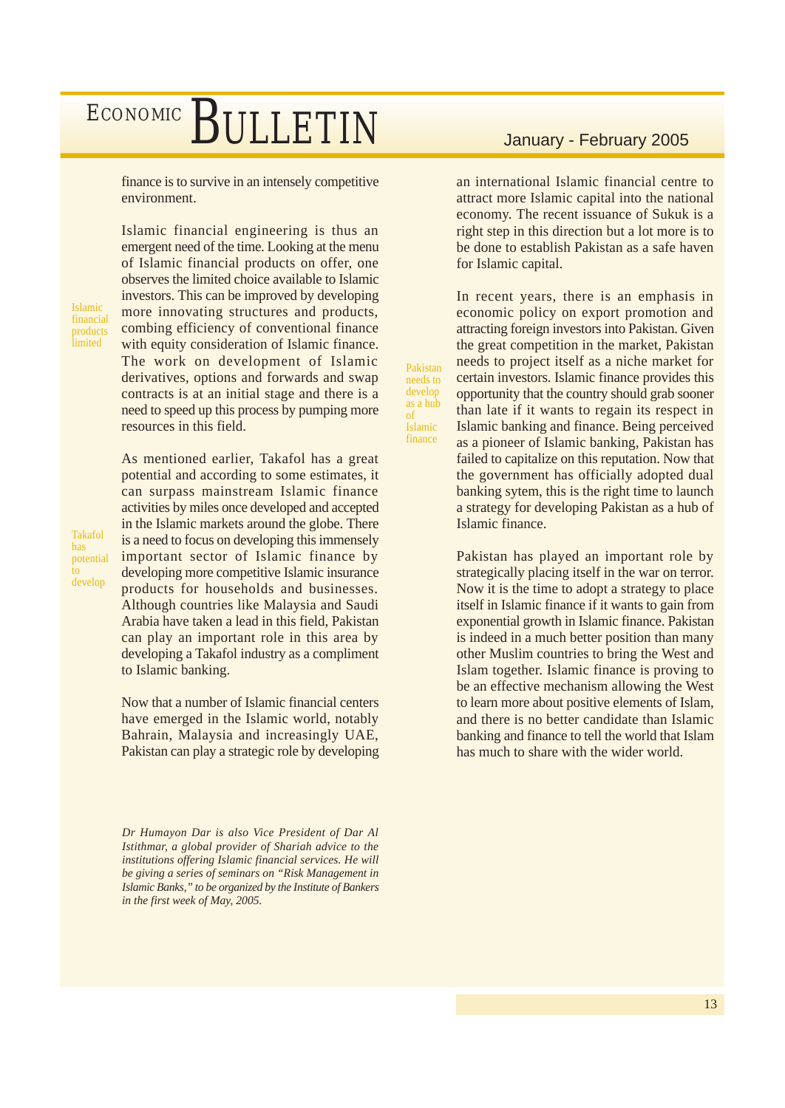finance is to survive in an intensely competitive environment.

Islamic financial products **limited** 

Islamic financial engineering is thus an emergent need of the time. Looking at the menu of Islamic financial products on offer, one observes the limited choice available to Islamic investors. This can be improved by developing more innovating structures and products, combing efficiency of conventional finance with equity consideration of Islamic finance. The work on development of Islamic derivatives, options and forwards and swap contracts is at an initial stage and there is a need to speed up this process by pumping more resources in this field.

As mentioned earlier, Takafol has a great potential and according to some estimates, it can surpass mainstream Islamic finance activities by miles once developed and accepted in the Islamic markets around the globe. There is a need to focus on developing this immensely important sector of Islamic finance by developing more competitive Islamic insurance products for households and businesses. Although countries like Malaysia and Saudi Arabia have taken a lead in this field, Pakistan can play an important role in this area by developing a Takafol industry as a compliment to Islamic banking.

Now that a number of Islamic financial centers have emerged in the Islamic world, notably Bahrain, Malaysia and increasingly UAE, Pakistan can play a strategic role by developing

*Dr Humayon Dar is also Vice President of Dar Al Istithmar, a global provider of Shariah advice to the institutions offering Islamic financial services. He will be giving a series of seminars on "Risk Management in Islamic Banks," to be organized by the Institute of Bankers in the first week of May, 2005.*

an international Islamic financial centre to attract more Islamic capital into the national economy. The recent issuance of Sukuk is a right step in this direction but a lot more is to be done to establish Pakistan as a safe haven for Islamic capital.

In recent years, there is an emphasis in economic policy on export promotion and attracting foreign investors into Pakistan. Given the great competition in the market, Pakistan needs to project itself as a niche market for certain investors. Islamic finance provides this opportunity that the country should grab sooner than late if it wants to regain its respect in Islamic banking and finance. Being perceived as a pioneer of Islamic banking, Pakistan has failed to capitalize on this reputation. Now that the government has officially adopted dual banking sytem, this is the right time to launch a strategy for developing Pakistan as a hub of Islamic finance.

Pakistan needs to develop as a hub of Islamic finance

> Pakistan has played an important role by strategically placing itself in the war on terror. Now it is the time to adopt a strategy to place itself in Islamic finance if it wants to gain from exponential growth in Islamic finance. Pakistan is indeed in a much better position than many other Muslim countries to bring the West and Islam together. Islamic finance is proving to be an effective mechanism allowing the West to learn more about positive elements of Islam, and there is no better candidate than Islamic banking and finance to tell the world that Islam has much to share with the wider world.

> > 13

Takafol has potential to develop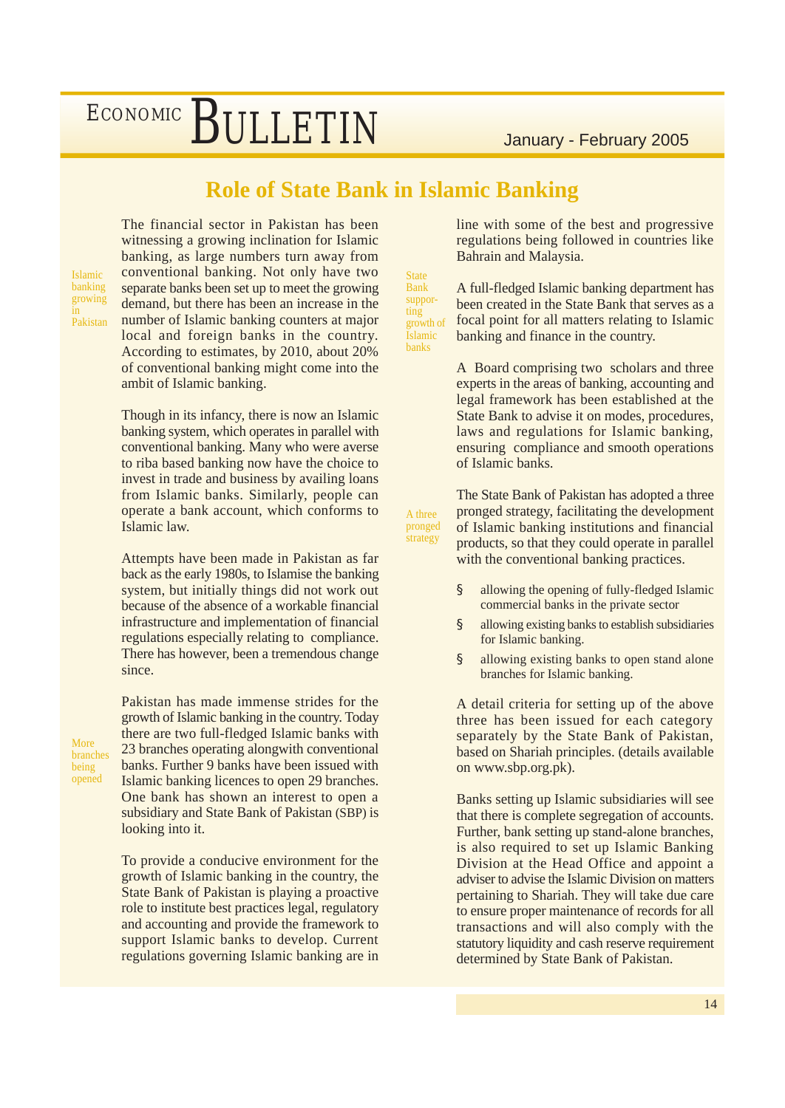### **Role of State Bank in Islamic Banking**

**State** Bank supporting

Islamic banks

A three

strategy

Islamic banking growing in Pakistan The financial sector in Pakistan has been witnessing a growing inclination for Islamic banking, as large numbers turn away from conventional banking. Not only have two separate banks been set up to meet the growing demand, but there has been an increase in the number of Islamic banking counters at major local and foreign banks in the country. According to estimates, by 2010, about 20% of conventional banking might come into the ambit of Islamic banking.

Though in its infancy, there is now an Islamic banking system, which operates in parallel with conventional banking. Many who were averse to riba based banking now have the choice to invest in trade and business by availing loans from Islamic banks. Similarly, people can operate a bank account, which conforms to Islamic law.

Attempts have been made in Pakistan as far back as the early 1980s, to Islamise the banking system, but initially things did not work out because of the absence of a workable financial infrastructure and implementation of financial regulations especially relating to compliance. There has however, been a tremendous change since.

More branches being opened

Pakistan has made immense strides for the growth of Islamic banking in the country. Today there are two full-fledged Islamic banks with 23 branches operating alongwith conventional banks. Further 9 banks have been issued with Islamic banking licences to open 29 branches. One bank has shown an interest to open a subsidiary and State Bank of Pakistan (SBP) is looking into it.

To provide a conducive environment for the growth of Islamic banking in the country, the State Bank of Pakistan is playing a proactive role to institute best practices legal, regulatory and accounting and provide the framework to support Islamic banks to develop. Current regulations governing Islamic banking are in

line with some of the best and progressive regulations being followed in countries like Bahrain and Malaysia.

A full-fledged Islamic banking department has been created in the State Bank that serves as a focal point for all matters relating to Islamic banking and finance in the country. growth of

> A Board comprising two scholars and three experts in the areas of banking, accounting and legal framework has been established at the State Bank to advise it on modes, procedures, laws and regulations for Islamic banking, ensuring compliance and smooth operations of Islamic banks.

The State Bank of Pakistan has adopted a three pronged strategy, facilitating the development of Islamic banking institutions and financial products, so that they could operate in parallel with the conventional banking practices. pronged

- § allowing the opening of fully-fledged Islamic commercial banks in the private sector
- § allowing existing banks to establish subsidiaries for Islamic banking.
- § allowing existing banks to open stand alone branches for Islamic banking.

A detail criteria for setting up of the above three has been issued for each category separately by the State Bank of Pakistan, based on Shariah principles. (details available on www.sbp.org.pk).

Banks setting up Islamic subsidiaries will see that there is complete segregation of accounts. Further, bank setting up stand-alone branches, is also required to set up Islamic Banking Division at the Head Office and appoint a adviser to advise the Islamic Division on matters pertaining to Shariah. They will take due care to ensure proper maintenance of records for all transactions and will also comply with the statutory liquidity and cash reserve requirement determined by State Bank of Pakistan.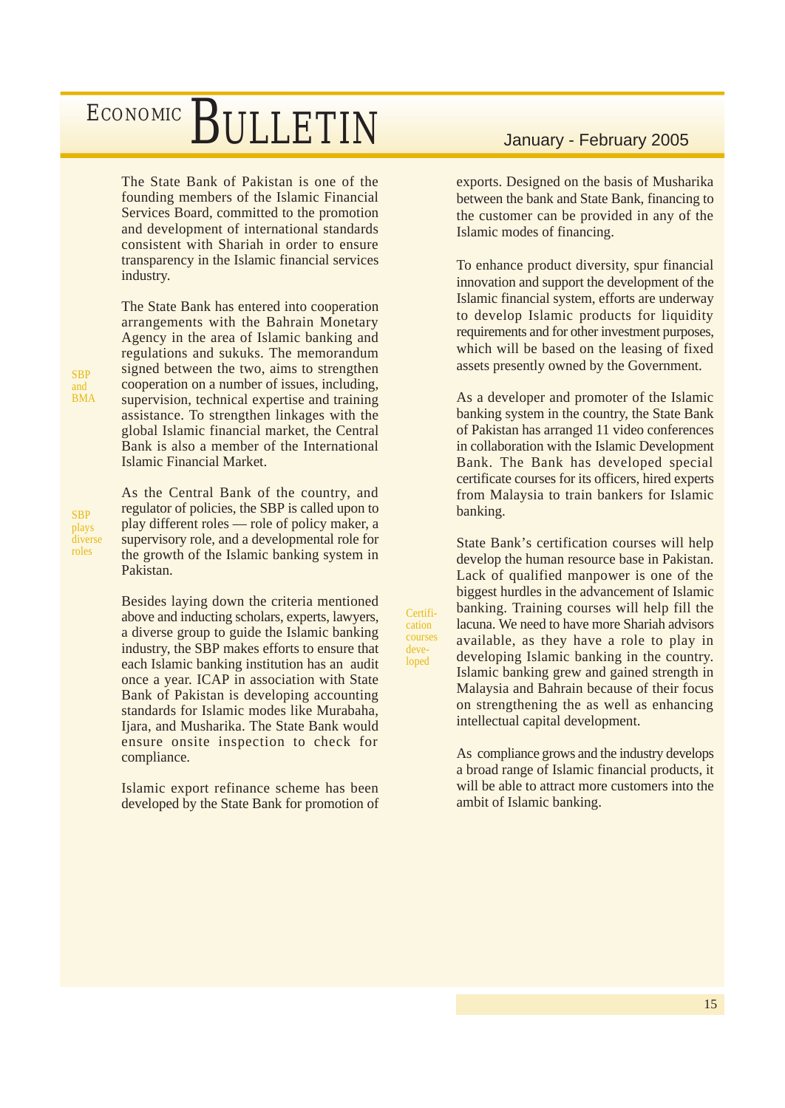The State Bank of Pakistan is one of the founding members of the Islamic Financial Services Board, committed to the promotion and development of international standards consistent with Shariah in order to ensure transparency in the Islamic financial services industry.

The State Bank has entered into cooperation arrangements with the Bahrain Monetary Agency in the area of Islamic banking and regulations and sukuks. The memorandum signed between the two, aims to strengthen cooperation on a number of issues, including, supervision, technical expertise and training assistance. To strengthen linkages with the global Islamic financial market, the Central Bank is also a member of the International Islamic Financial Market.

As the Central Bank of the country, and regulator of policies, the SBP is called upon to play different roles –– role of policy maker, a supervisory role, and a developmental role for the growth of the Islamic banking system in Pakistan.

Besides laying down the criteria mentioned above and inducting scholars, experts, lawyers, a diverse group to guide the Islamic banking industry, the SBP makes efforts to ensure that each Islamic banking institution has an audit once a year. ICAP in association with State Bank of Pakistan is developing accounting standards for Islamic modes like Murabaha, Ijara, and Musharika. The State Bank would ensure onsite inspection to check for compliance.

Islamic export refinance scheme has been developed by the State Bank for promotion of

exports. Designed on the basis of Musharika between the bank and State Bank, financing to the customer can be provided in any of the Islamic modes of financing.

To enhance product diversity, spur financial innovation and support the development of the Islamic financial system, efforts are underway to develop Islamic products for liquidity requirements and for other investment purposes, which will be based on the leasing of fixed assets presently owned by the Government.

As a developer and promoter of the Islamic banking system in the country, the State Bank of Pakistan has arranged 11 video conferences in collaboration with the Islamic Development Bank. The Bank has developed special certificate courses for its officers, hired experts from Malaysia to train bankers for Islamic banking.

State Bank's certification courses will help develop the human resource base in Pakistan. Lack of qualified manpower is one of the biggest hurdles in the advancement of Islamic banking. Training courses will help fill the lacuna. We need to have more Shariah advisors available, as they have a role to play in developing Islamic banking in the country. Islamic banking grew and gained strength in Malaysia and Bahrain because of their focus on strengthening the as well as enhancing intellectual capital development.

Certification courses developed

> As compliance grows and the industry develops a broad range of Islamic financial products, it will be able to attract more customers into the ambit of Islamic banking.

**SBP** and BMA

**SBP** plays diverse roles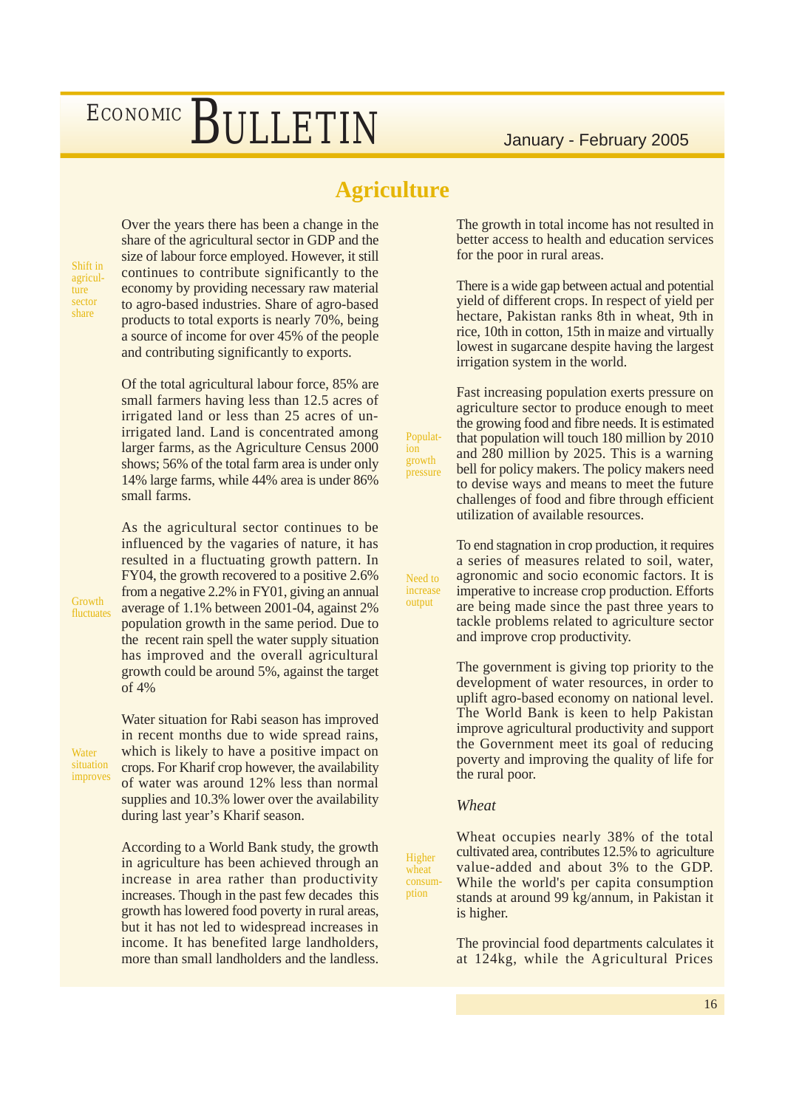#### **Agriculture**

Population growth pressure

Need to increase output

Shift in agriculture sector share

Over the years there has been a change in the share of the agricultural sector in GDP and the size of labour force employed. However, it still continues to contribute significantly to the economy by providing necessary raw material to agro-based industries. Share of agro-based products to total exports is nearly 70%, being a source of income for over 45% of the people and contributing significantly to exports.

Of the total agricultural labour force, 85% are small farmers having less than 12.5 acres of irrigated land or less than 25 acres of unirrigated land. Land is concentrated among larger farms, as the Agriculture Census 2000 shows; 56% of the total farm area is under only 14% large farms, while 44% area is under 86% small farms.

As the agricultural sector continues to be influenced by the vagaries of nature, it has resulted in a fluctuating growth pattern. In FY04, the growth recovered to a positive 2.6% from a negative 2.2% in FY01, giving an annual average of 1.1% between 2001-04, against 2% population growth in the same period. Due to the recent rain spell the water supply situation has improved and the overall agricultural growth could be around 5%, against the target of 4%

**Water** situation improves

Growth fluctuates

> Water situation for Rabi season has improved in recent months due to wide spread rains, which is likely to have a positive impact on crops. For Kharif crop however, the availability of water was around 12% less than normal supplies and 10.3% lower over the availability during last year's Kharif season.

According to a World Bank study, the growth in agriculture has been achieved through an increase in area rather than productivity increases. Though in the past few decades this growth has lowered food poverty in rural areas, but it has not led to widespread increases in income. It has benefited large landholders, more than small landholders and the landless.

The growth in total income has not resulted in better access to health and education services for the poor in rural areas.

There is a wide gap between actual and potential yield of different crops. In respect of yield per hectare, Pakistan ranks 8th in wheat, 9th in rice, 10th in cotton, 15th in maize and virtually lowest in sugarcane despite having the largest irrigation system in the world.

Fast increasing population exerts pressure on agriculture sector to produce enough to meet the growing food and fibre needs. It is estimated that population will touch 180 million by 2010 and 280 million by 2025. This is a warning bell for policy makers. The policy makers need to devise ways and means to meet the future challenges of food and fibre through efficient utilization of available resources.

To end stagnation in crop production, it requires a series of measures related to soil, water, agronomic and socio economic factors. It is imperative to increase crop production. Efforts are being made since the past three years to tackle problems related to agriculture sector and improve crop productivity.

The government is giving top priority to the development of water resources, in order to uplift agro-based economy on national level. The World Bank is keen to help Pakistan improve agricultural productivity and support the Government meet its goal of reducing poverty and improving the quality of life for the rural poor.

#### *Wheat*

Higher wheat consumption

Wheat occupies nearly 38% of the total cultivated area, contributes 12.5% to agriculture value-added and about 3% to the GDP. While the world's per capita consumption stands at around 99 kg/annum, in Pakistan it is higher.

The provincial food departments calculates it at 124kg, while the Agricultural Prices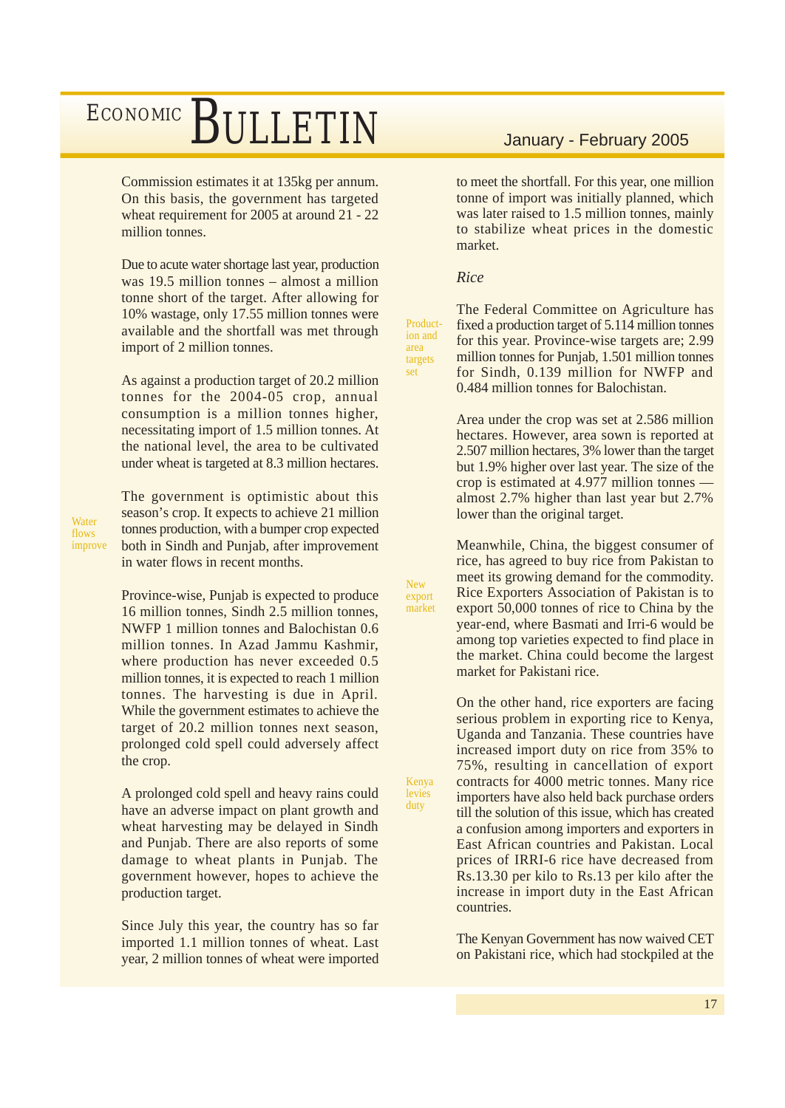Commission estimates it at 135kg per annum. On this basis, the government has targeted wheat requirement for 2005 at around 21 - 22 million tonnes.

Due to acute water shortage last year, production was 19.5 million tonnes – almost a million tonne short of the target. After allowing for 10% wastage, only 17.55 million tonnes were available and the shortfall was met through import of 2 million tonnes.

As against a production target of 20.2 million tonnes for the 2004-05 crop, annual consumption is a million tonnes higher, necessitating import of 1.5 million tonnes. At the national level, the area to be cultivated under wheat is targeted at 8.3 million hectares.

The government is optimistic about this season's crop. It expects to achieve 21 million tonnes production, with a bumper crop expected both in Sindh and Punjab, after improvement in water flows in recent months.

**Water** flows improve

> Province-wise, Punjab is expected to produce 16 million tonnes, Sindh 2.5 million tonnes, NWFP 1 million tonnes and Balochistan 0.6 million tonnes. In Azad Jammu Kashmir, where production has never exceeded  $0.5$ million tonnes, it is expected to reach 1 million tonnes. The harvesting is due in April. While the government estimates to achieve the target of 20.2 million tonnes next season, prolonged cold spell could adversely affect the crop.

> A prolonged cold spell and heavy rains could have an adverse impact on plant growth and wheat harvesting may be delayed in Sindh and Punjab. There are also reports of some damage to wheat plants in Punjab. The government however, hopes to achieve the production target.

> Since July this year, the country has so far imported 1.1 million tonnes of wheat. Last year, 2 million tonnes of wheat were imported

to meet the shortfall. For this year, one million tonne of import was initially planned, which was later raised to 1.5 million tonnes, mainly to stabilize wheat prices in the domestic market.

#### *Rice*

Production and area targets set

New export market

Kenya levies duty

The Federal Committee on Agriculture has fixed a production target of 5.114 million tonnes for this year. Province-wise targets are; 2.99 million tonnes for Punjab, 1.501 million tonnes for Sindh, 0.139 million for NWFP and 0.484 million tonnes for Balochistan.

Area under the crop was set at 2.586 million hectares. However, area sown is reported at 2.507 million hectares, 3% lower than the target but 1.9% higher over last year. The size of the crop is estimated at 4.977 million tonnes almost 2.7% higher than last year but 2.7% lower than the original target.

Meanwhile, China, the biggest consumer of rice, has agreed to buy rice from Pakistan to meet its growing demand for the commodity. Rice Exporters Association of Pakistan is to export 50,000 tonnes of rice to China by the year-end, where Basmati and Irri-6 would be among top varieties expected to find place in the market. China could become the largest market for Pakistani rice.

On the other hand, rice exporters are facing serious problem in exporting rice to Kenya, Uganda and Tanzania. These countries have increased import duty on rice from 35% to 75%, resulting in cancellation of export contracts for 4000 metric tonnes. Many rice importers have also held back purchase orders till the solution of this issue, which has created a confusion among importers and exporters in East African countries and Pakistan. Local prices of IRRI-6 rice have decreased from Rs.13.30 per kilo to Rs.13 per kilo after the increase in import duty in the East African countries.

The Kenyan Government has now waived CET on Pakistani rice, which had stockpiled at the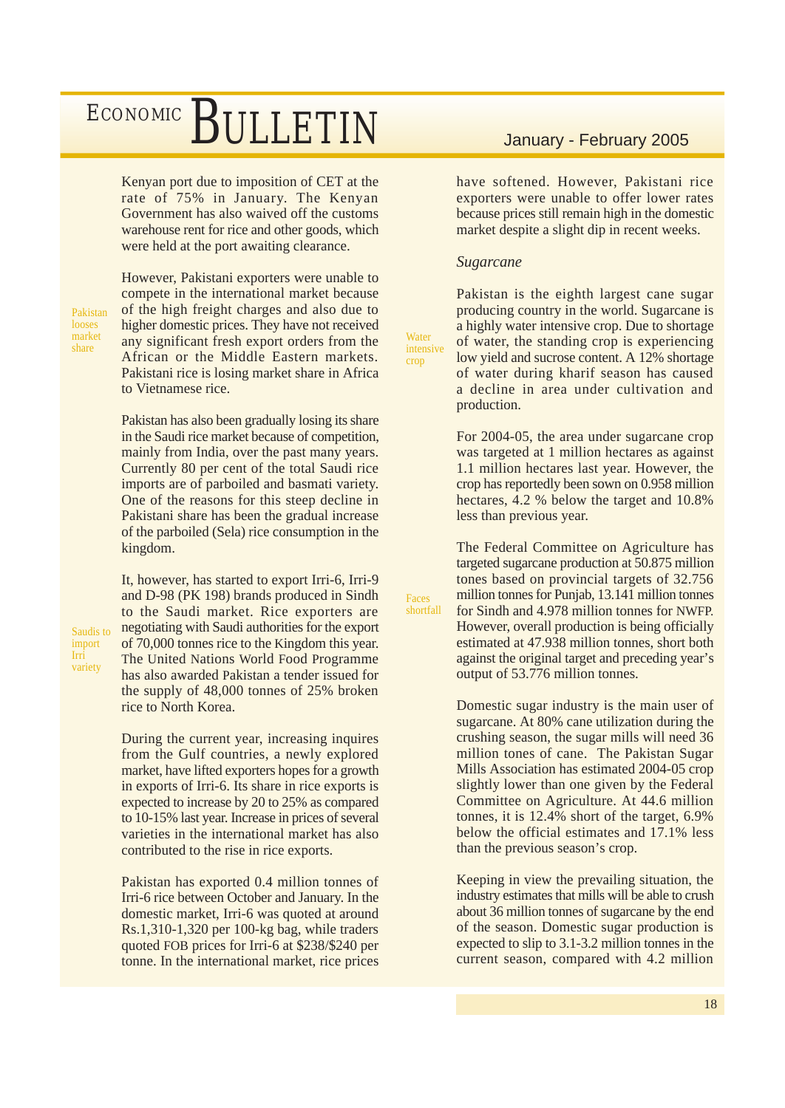Kenyan port due to imposition of CET at the rate of 75% in January. The Kenyan Government has also waived off the customs warehouse rent for rice and other goods, which were held at the port awaiting clearance.

Pakistan looses market share

import Irri variety

However, Pakistani exporters were unable to compete in the international market because of the high freight charges and also due to higher domestic prices. They have not received any significant fresh export orders from the African or the Middle Eastern markets. Pakistani rice is losing market share in Africa to Vietnamese rice.

Pakistan has also been gradually losing its share in the Saudi rice market because of competition, mainly from India, over the past many years. Currently 80 per cent of the total Saudi rice imports are of parboiled and basmati variety. One of the reasons for this steep decline in Pakistani share has been the gradual increase of the parboiled (Sela) rice consumption in the kingdom.

It, however, has started to export Irri-6, Irri-9 and D-98 (PK 198) brands produced in Sindh to the Saudi market. Rice exporters are negotiating with Saudi authorities for the export of 70,000 tonnes rice to the Kingdom this year. The United Nations World Food Programme has also awarded Pakistan a tender issued for the supply of 48,000 tonnes of 25% broken rice to North Korea. Saudis to

> During the current year, increasing inquires from the Gulf countries, a newly explored market, have lifted exporters hopes for a growth in exports of Irri-6. Its share in rice exports is expected to increase by 20 to 25% as compared to 10-15% last year. Increase in prices of several varieties in the international market has also contributed to the rise in rice exports.

> Pakistan has exported 0.4 million tonnes of Irri-6 rice between October and January. In the domestic market, Irri-6 was quoted at around Rs.1,310-1,320 per 100-kg bag, while traders quoted FOB prices for Irri-6 at \$238/\$240 per tonne. In the international market, rice prices

have softened. However, Pakistani rice exporters were unable to offer lower rates because prices still remain high in the domestic market despite a slight dip in recent weeks.

#### *Sugarcane*

**Water** intensive crop

Faces shortfall Pakistan is the eighth largest cane sugar producing country in the world. Sugarcane is a highly water intensive crop. Due to shortage of water, the standing crop is experiencing low yield and sucrose content. A 12% shortage of water during kharif season has caused a decline in area under cultivation and production.

For 2004-05, the area under sugarcane crop was targeted at 1 million hectares as against 1.1 million hectares last year. However, the crop has reportedly been sown on 0.958 million hectares, 4.2 % below the target and 10.8% less than previous year.

The Federal Committee on Agriculture has targeted sugarcane production at 50.875 million tones based on provincial targets of 32.756 million tonnes for Punjab, 13.141 million tonnes for Sindh and 4.978 million tonnes for NWFP. However, overall production is being officially estimated at 47.938 million tonnes, short both against the original target and preceding year's output of 53.776 million tonnes.

Domestic sugar industry is the main user of sugarcane. At 80% cane utilization during the crushing season, the sugar mills will need 36 million tones of cane. The Pakistan Sugar Mills Association has estimated 2004-05 crop slightly lower than one given by the Federal Committee on Agriculture. At 44.6 million tonnes, it is 12.4% short of the target, 6.9% below the official estimates and 17.1% less than the previous season's crop.

Keeping in view the prevailing situation, the industry estimates that mills will be able to crush about 36 million tonnes of sugarcane by the end of the season. Domestic sugar production is expected to slip to 3.1-3.2 million tonnes in the current season, compared with 4.2 million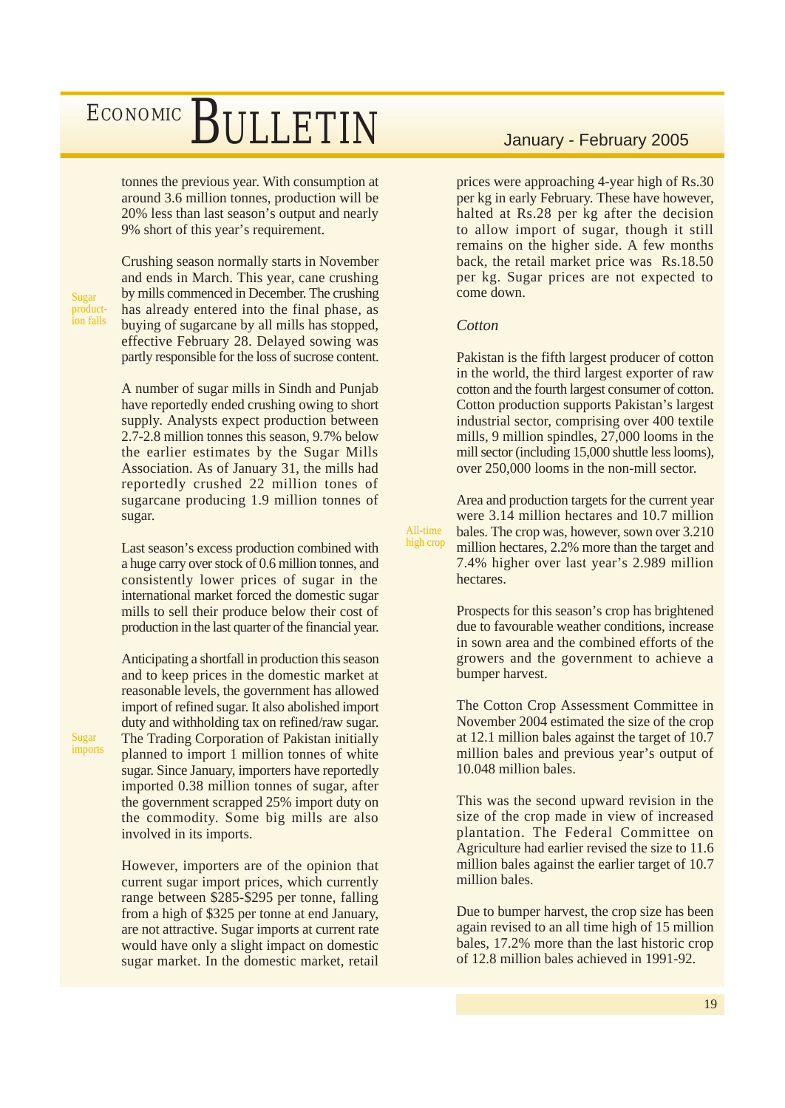tonnes the previous year. With consumption at around 3.6 million tonnes, production will be 20% less than last season's output and nearly 9% short of this year's requirement.

Sugar production falls

Sugar imports Crushing season normally starts in November and ends in March. This year, cane crushing by mills commenced in December. The crushing has already entered into the final phase, as buying of sugarcane by all mills has stopped, effective February 28. Delayed sowing was partly responsible for the loss of sucrose content.

A number of sugar mills in Sindh and Punjab have reportedly ended crushing owing to short supply. Analysts expect production between 2.7-2.8 million tonnes this season, 9.7% below the earlier estimates by the Sugar Mills Association. As of January 31, the mills had reportedly crushed 22 million tones of sugarcane producing 1.9 million tonnes of sugar.

Last season's excess production combined with a huge carry over stock of 0.6 million tonnes, and consistently lower prices of sugar in the international market forced the domestic sugar mills to sell their produce below their cost of production in the last quarter of the financial year.

Anticipating a shortfall in production this season and to keep prices in the domestic market at reasonable levels, the government has allowed import of refined sugar. It also abolished import duty and withholding tax on refined/raw sugar. The Trading Corporation of Pakistan initially planned to import 1 million tonnes of white sugar. Since January, importers have reportedly imported 0.38 million tonnes of sugar, after the government scrapped 25% import duty on the commodity. Some big mills are also involved in its imports.

However, importers are of the opinion that current sugar import prices, which currently range between \$285-\$295 per tonne, falling from a high of \$325 per tonne at end January, are not attractive. Sugar imports at current rate would have only a slight impact on domestic sugar market. In the domestic market, retail

prices were approaching 4-year high of Rs.30 per kg in early February. These have however, halted at Rs.28 per kg after the decision to allow import of sugar, though it still remains on the higher side. A few months back, the retail market price was Rs.18.50 per kg. Sugar prices are not expected to come down.

#### *Cotton*

All-time high crop Pakistan is the fifth largest producer of cotton in the world, the third largest exporter of raw cotton and the fourth largest consumer of cotton. Cotton production supports Pakistan's largest industrial sector, comprising over 400 textile mills, 9 million spindles, 27,000 looms in the mill sector (including 15,000 shuttle less looms), over 250,000 looms in the non-mill sector.

Area and production targets for the current year were 3.14 million hectares and 10.7 million bales. The crop was, however, sown over 3.210 million hectares, 2.2% more than the target and 7.4% higher over last year's 2.989 million hectares.

Prospects for this season's crop has brightened due to favourable weather conditions, increase in sown area and the combined efforts of the growers and the government to achieve a bumper harvest.

The Cotton Crop Assessment Committee in November 2004 estimated the size of the crop at 12.1 million bales against the target of 10.7 million bales and previous year's output of 10.048 million bales.

This was the second upward revision in the size of the crop made in view of increased plantation. The Federal Committee on Agriculture had earlier revised the size to 11.6 million bales against the earlier target of 10.7 million bales.

Due to bumper harvest, the crop size has been again revised to an all time high of 15 million bales, 17.2% more than the last historic crop of 12.8 million bales achieved in 1991-92.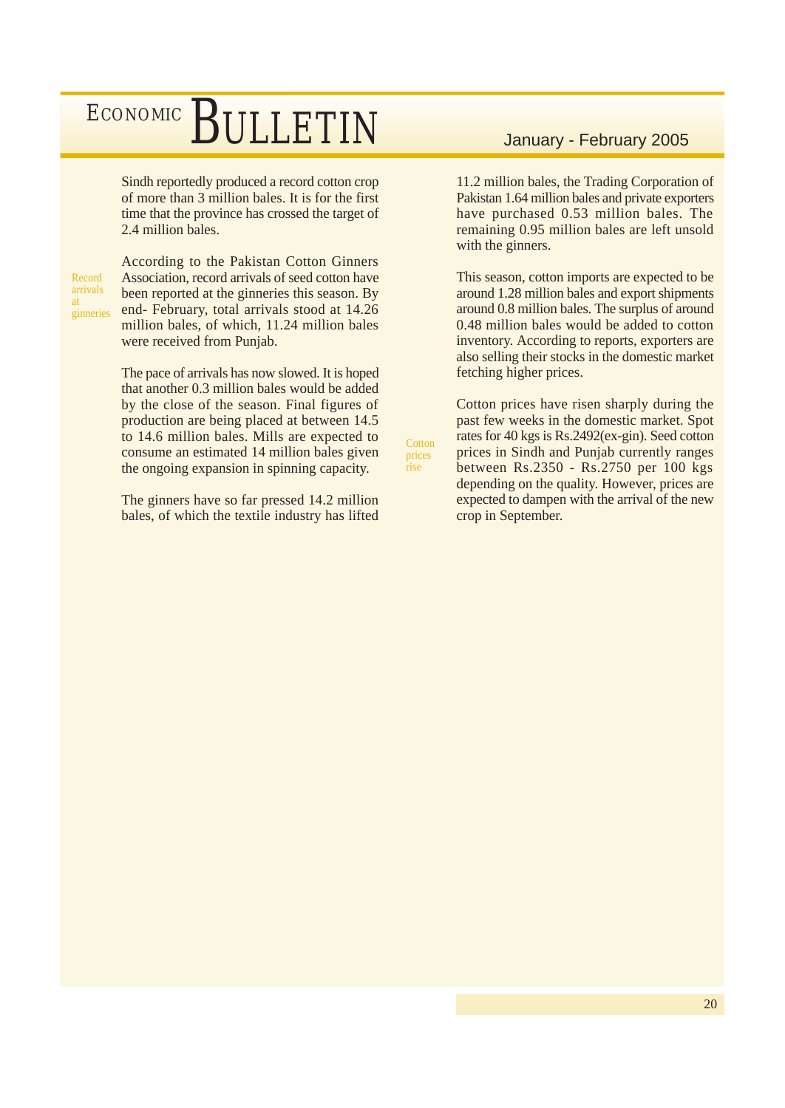Sindh reportedly produced a record cotton crop of more than 3 million bales. It is for the first time that the province has crossed the target of 2.4 million bales.

Record arrivals at ginneries According to the Pakistan Cotton Ginners Association, record arrivals of seed cotton have been reported at the ginneries this season. By end- February, total arrivals stood at 14.26 million bales, of which, 11.24 million bales were received from Punjab.

The pace of arrivals has now slowed. It is hoped that another 0.3 million bales would be added by the close of the season. Final figures of production are being placed at between 14.5 to 14.6 million bales. Mills are expected to consume an estimated 14 million bales given the ongoing expansion in spinning capacity.

The ginners have so far pressed 14.2 million bales, of which the textile industry has lifted

11.2 million bales, the Trading Corporation of Pakistan 1.64 million bales and private exporters have purchased 0.53 million bales. The remaining 0.95 million bales are left unsold with the ginners.

This season, cotton imports are expected to be around 1.28 million bales and export shipments around 0.8 million bales. The surplus of around 0.48 million bales would be added to cotton inventory. According to reports, exporters are also selling their stocks in the domestic market fetching higher prices.

Cotton prices have risen sharply during the past few weeks in the domestic market. Spot rates for 40 kgs is Rs.2492(ex-gin). Seed cotton prices in Sindh and Punjab currently ranges between Rs.2350 - Rs.2750 per 100 kgs depending on the quality. However, prices are expected to dampen with the arrival of the new crop in September.

**Cotton** prices rise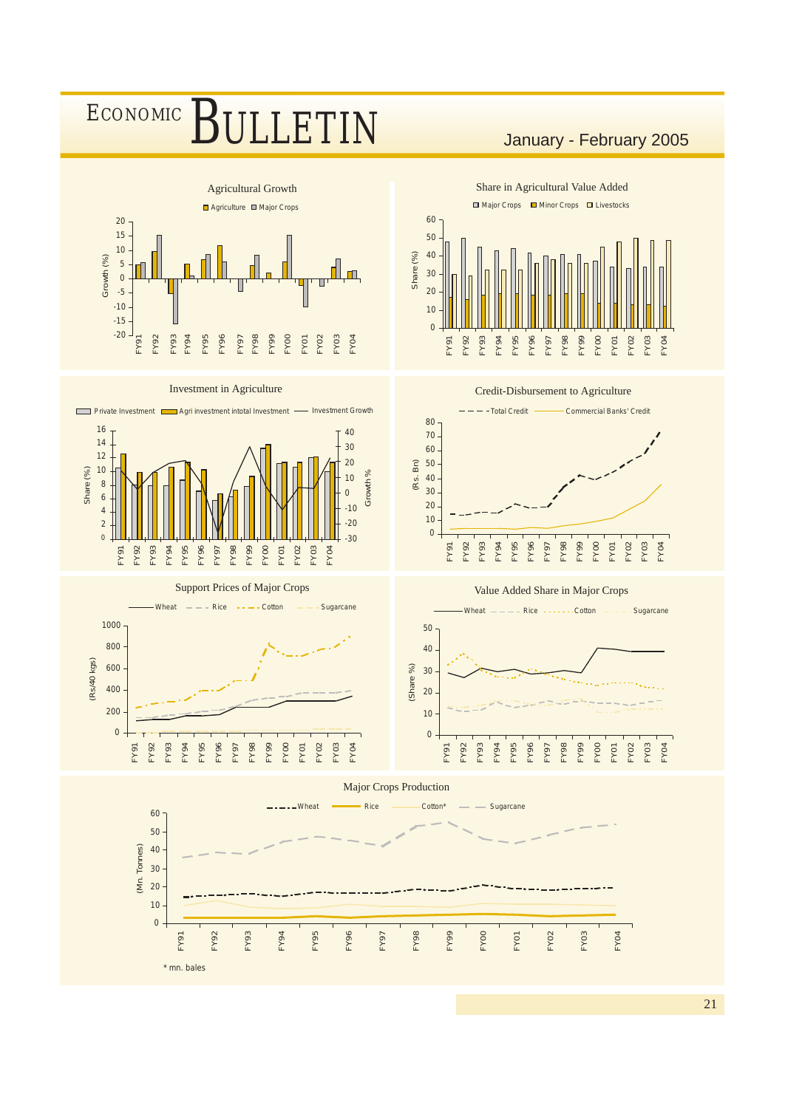

21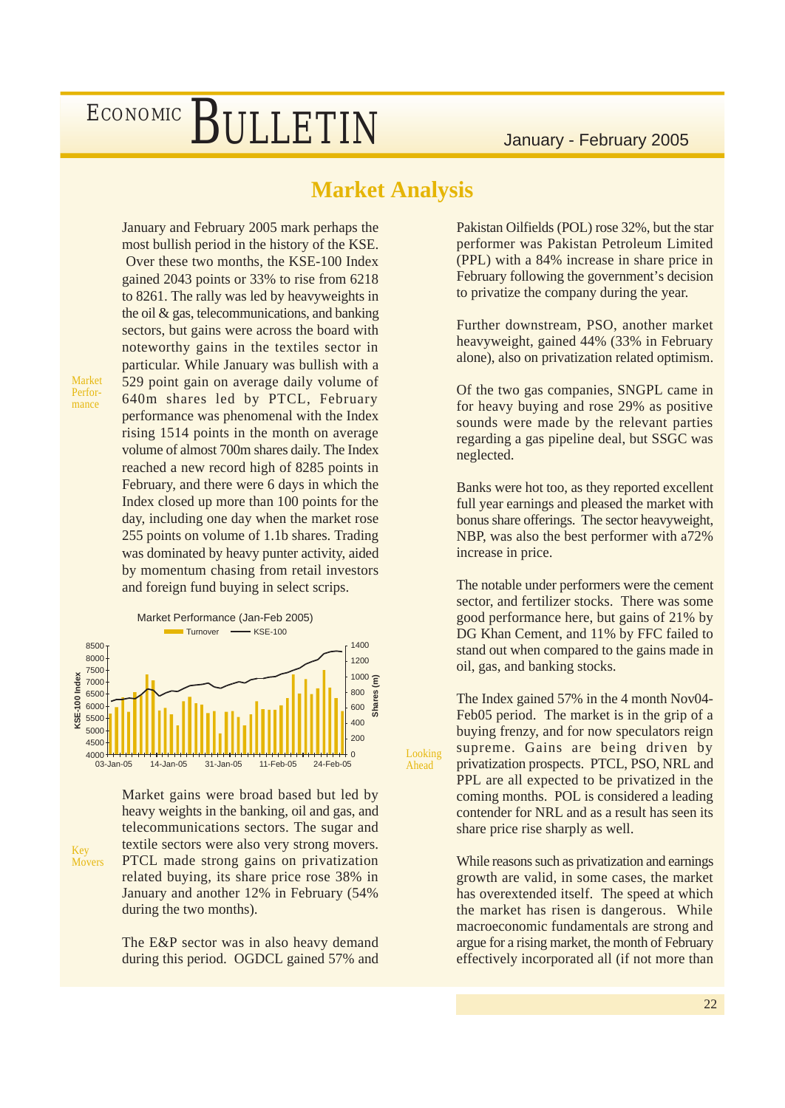#### **Market Analysis**

Looking Ahead

Market Performance

Key Movers January and February 2005 mark perhaps the most bullish period in the history of the KSE. Over these two months, the KSE-100 Index gained 2043 points or 33% to rise from 6218 to 8261. The rally was led by heavyweights in the oil & gas, telecommunications, and banking sectors, but gains were across the board with noteworthy gains in the textiles sector in particular. While January was bullish with a 529 point gain on average daily volume of 640m shares led by PTCL, February performance was phenomenal with the Index rising 1514 points in the month on average volume of almost 700m shares daily. The Index reached a new record high of 8285 points in February, and there were 6 days in which the Index closed up more than 100 points for the day, including one day when the market rose 255 points on volume of 1.1b shares. Trading was dominated by heavy punter activity, aided by momentum chasing from retail investors and foreign fund buying in select scrips.



Market gains were broad based but led by heavy weights in the banking, oil and gas, and telecommunications sectors. The sugar and textile sectors were also very strong movers. PTCL made strong gains on privatization related buying, its share price rose 38% in January and another 12% in February (54% during the two months).

The E&P sector was in also heavy demand during this period. OGDCL gained 57% and Pakistan Oilfields (POL) rose 32%, but the star performer was Pakistan Petroleum Limited (PPL) with a 84% increase in share price in February following the government's decision to privatize the company during the year.

Further downstream, PSO, another market heavyweight, gained 44% (33% in February alone), also on privatization related optimism.

Of the two gas companies, SNGPL came in for heavy buying and rose 29% as positive sounds were made by the relevant parties regarding a gas pipeline deal, but SSGC was neglected.

Banks were hot too, as they reported excellent full year earnings and pleased the market with bonus share offerings. The sector heavyweight, NBP, was also the best performer with a72% increase in price.

The notable under performers were the cement sector, and fertilizer stocks. There was some good performance here, but gains of 21% by DG Khan Cement, and 11% by FFC failed to stand out when compared to the gains made in oil, gas, and banking stocks.

The Index gained 57% in the 4 month Nov04- Feb05 period. The market is in the grip of a buying frenzy, and for now speculators reign supreme. Gains are being driven by privatization prospects. PTCL, PSO, NRL and PPL are all expected to be privatized in the coming months. POL is considered a leading contender for NRL and as a result has seen its share price rise sharply as well.

While reasons such as privatization and earnings growth are valid, in some cases, the market has overextended itself. The speed at which the market has risen is dangerous. While macroeconomic fundamentals are strong and argue for a rising market, the month of February effectively incorporated all (if not more than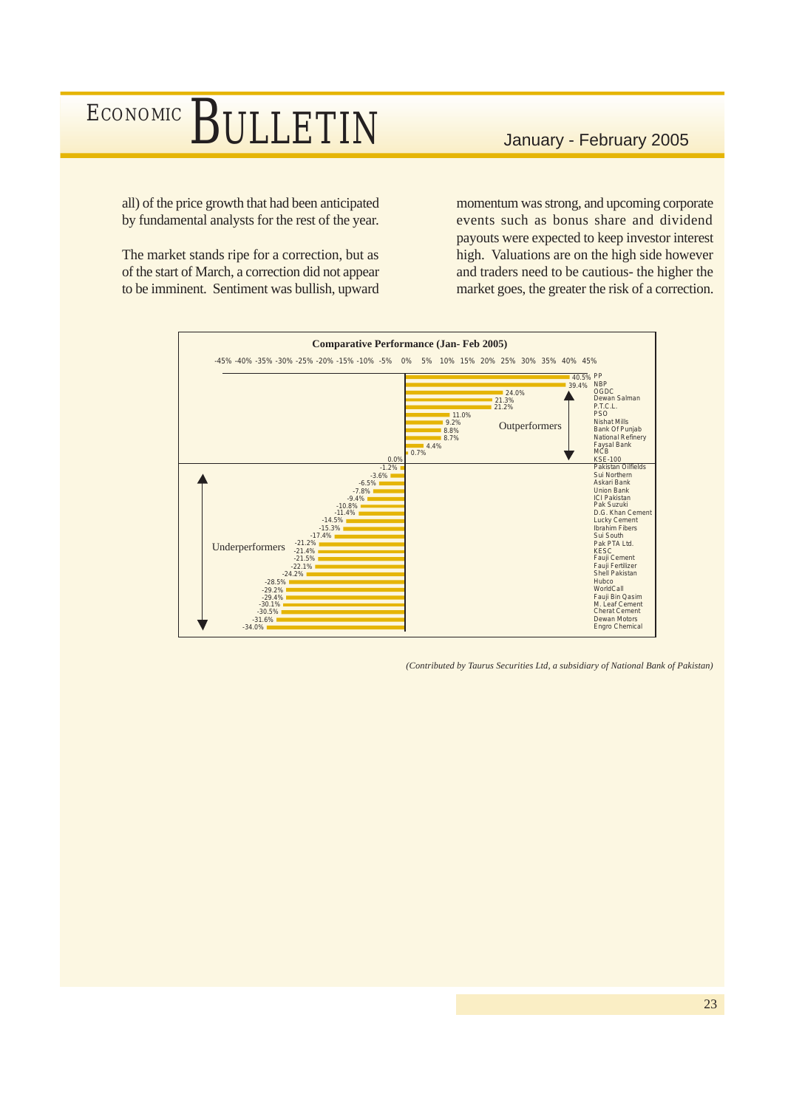all) of the price growth that had been anticipated by fundamental analysts for the rest of the year.

The market stands ripe for a correction, but as of the start of March, a correction did not appear to be imminent. Sentiment was bullish, upward

momentum was strong, and upcoming corporate events such as bonus share and dividend payouts were expected to keep investor interest high. Valuations are on the high side however and traders need to be cautious- the higher the market goes, the greater the risk of a correction.



*(Contributed by Taurus Securities Ltd, a subsidiary of National Bank of Pakistan)*